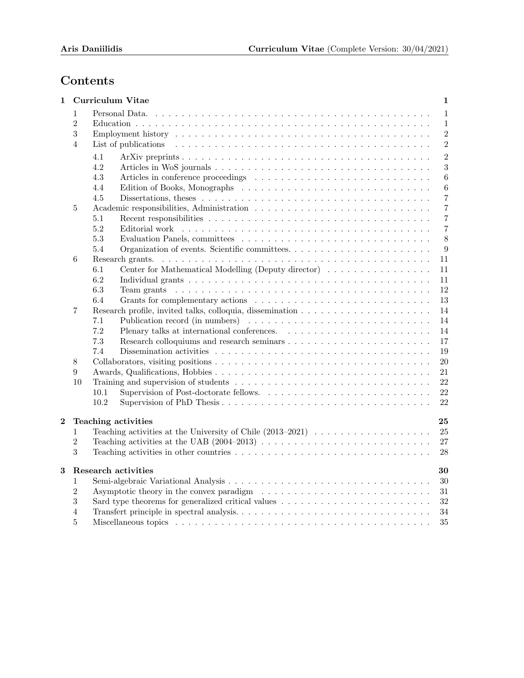# Contents

| 1              |                                        | <b>Curriculum Vitae</b><br>1                                                                                                                                                                                                         |
|----------------|----------------------------------------|--------------------------------------------------------------------------------------------------------------------------------------------------------------------------------------------------------------------------------------|
|                | 1<br>$\overline{2}$<br>$\sqrt{3}$<br>4 | $\mathbf{1}$<br>Personal Data.<br>$\mathbf{1}$<br>$\overline{2}$<br>$\sqrt{2}$<br>List of publications                                                                                                                               |
|                |                                        | $\overline{2}$<br>4.1<br>3<br>4.2<br>4.3<br>$\,6\,$<br>4.4<br>$\,6\,$<br>4.5<br>$\overline{7}$<br>Dissertations, theses $\dots \dots \dots \dots \dots \dots \dots \dots \dots \dots \dots \dots \dots \dots$                        |
|                | 5                                      | $\,7$<br>$\,7$<br>5.1<br>5.2<br>$\overline{7}$<br>$\,8\,$<br>5.3<br>5.4<br>$\boldsymbol{9}$                                                                                                                                          |
|                | 6                                      | 11<br>Center for Mathematical Modelling (Deputy director)<br>11<br>6.1<br>6.2<br>11<br>6.3<br>12<br>Team grants $\dots \dots \dots \dots \dots \dots \dots \dots \dots \dots \dots \dots \dots \dots \dots \dots \dots$<br>13<br>6.4 |
|                | 7                                      | 14<br>14<br>7.1<br>7.2<br>14<br>7.3<br>17<br>Dissemination activities $\ldots \ldots \ldots \ldots \ldots \ldots \ldots \ldots \ldots \ldots \ldots$<br>7.4<br>19                                                                    |
|                | 8<br>9<br>10                           | 20<br>21<br>$22\,$<br>22<br>10.1<br>10.2<br>22                                                                                                                                                                                       |
| $\overline{2}$ | $\mathbf{1}$<br>$\overline{2}$<br>3    | 25<br>Teaching activities<br>25<br>$27\,$<br>28                                                                                                                                                                                      |
| 3              | 1<br>$\overline{2}$<br>3<br>4<br>5     | <b>Research activities</b><br>30<br>$30\,$<br>31<br>32<br>34<br>35                                                                                                                                                                   |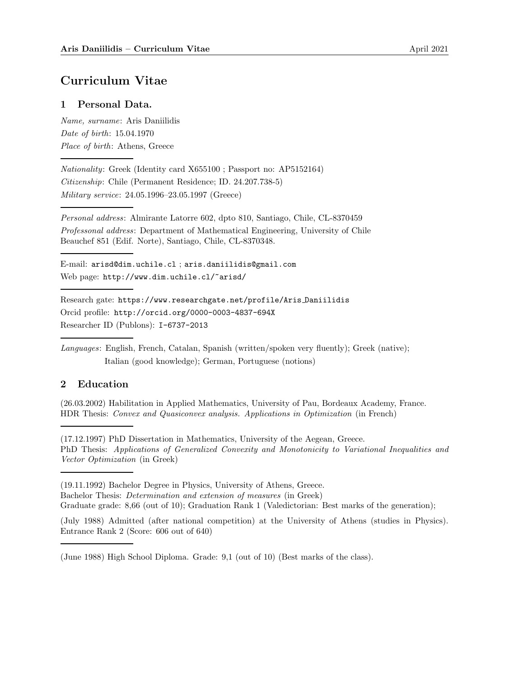# Curriculum Vitae

# 1 Personal Data.

Name, surname: Aris Daniilidis Date of birth: 15.04.1970 Place of birth: Athens, Greece

Nationality: Greek (Identity card X655100 ; Passport no: AP5152164) Citizenship: Chile (Permanent Residence; ID. 24.207.738-5) Military service: 24.05.1996–23.05.1997 (Greece)

Personal address: Almirante Latorre 602, dpto 810, Santiago, Chile, CL-8370459 Professonal address: Department of Mathematical Engineering, University of Chile Beauchef 851 (Edif. Norte), Santiago, Chile, CL-8370348.

E-mail: arisd@dim.uchile.cl ; aris.daniilidis@gmail.com Web page: http://www.dim.uchile.cl/~arisd/

Research gate: https://www.researchgate.net/profile/Aris Daniilidis Orcid profile: http://orcid.org/0000-0003-4837-694X Researcher ID (Publons): I-6737-2013

Languages: English, French, Catalan, Spanish (written/spoken very fluently); Greek (native); Italian (good knowledge); German, Portuguese (notions)

# 2 Education

(26.03.2002) Habilitation in Applied Mathematics, University of Pau, Bordeaux Academy, France. HDR Thesis: Convex and Quasiconvex analysis. Applications in Optimization (in French)

(17.12.1997) PhD Dissertation in Mathematics, University of the Aegean, Greece. PhD Thesis: Applications of Generalized Convexity and Monotonicity to Variational Inequalities and Vector Optimization (in Greek)

(19.11.1992) Bachelor Degree in Physics, University of Athens, Greece. Bachelor Thesis: Determination and extension of measures (in Greek)

Graduate grade: 8,66 (out of 10); Graduation Rank 1 (Valedictorian: Best marks of the generation);

(July 1988) Admitted (after national competition) at the University of Athens (studies in Physics). Entrance Rank 2 (Score: 606 out of 640)

<sup>(</sup>June 1988) High School Diploma. Grade: 9,1 (out of 10) (Best marks of the class).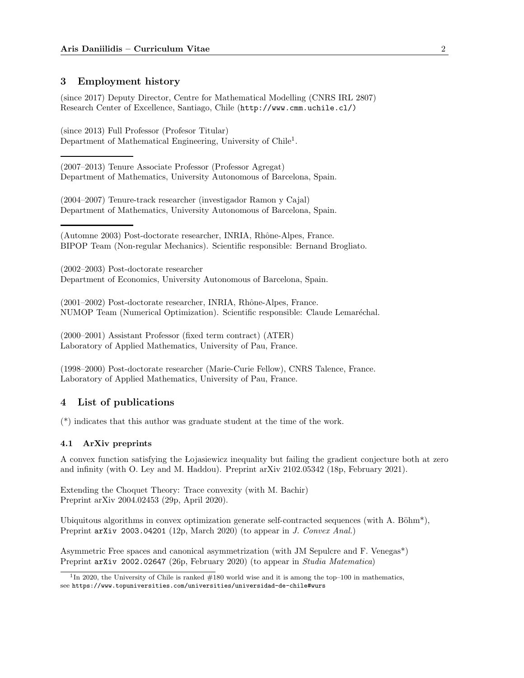# 3 Employment history

(since 2017) Deputy Director, Centre for Mathematical Modelling (CNRS IRL 2807) Research Center of Excellence, Santiago, Chile (http://www.cmm.uchile.cl/)

(since 2013) Full Professor (Profesor Titular) Department of Mathematical Engineering, University of Chile<sup>1</sup>.

(2007–2013) Tenure Associate Professor (Professor Agregat) Department of Mathematics, University Autonomous of Barcelona, Spain.

(2004–2007) Tenure-track researcher (investigador Ramon y Cajal) Department of Mathematics, University Autonomous of Barcelona, Spain.

(Automne 2003) Post-doctorate researcher, INRIA, Rhône-Alpes, France. BIPOP Team (Non-regular Mechanics). Scientific responsible: Bernand Brogliato.

(2002–2003) Post-doctorate researcher Department of Economics, University Autonomous of Barcelona, Spain.

 $(2001–2002)$  Post-doctorate researcher, INRIA, Rhône-Alpes, France. NUMOP Team (Numerical Optimization). Scientific responsible: Claude Lemaréchal.

(2000–2001) Assistant Professor (fixed term contract) (ATER) Laboratory of Applied Mathematics, University of Pau, France.

(1998–2000) Post-doctorate researcher (Marie-Curie Fellow), CNRS Talence, France. Laboratory of Applied Mathematics, University of Pau, France.

# 4 List of publications

(\*) indicates that this author was graduate student at the time of the work.

## 4.1 ArXiv preprints

A convex function satisfying the Lojasiewicz inequality but failing the gradient conjecture both at zero and infinity (with O. Ley and M. Haddou). Preprint arXiv 2102.05342 (18p, February 2021).

Extending the Choquet Theory: Trace convexity (with M. Bachir) Preprint arXiv 2004.02453 (29p, April 2020).

Ubiquitous algorithms in convex optimization generate self-contracted sequences (with A. Böhm\*), Preprint  $arXiv$  2003.04201 (12p, March 2020) (to appear in J. Convex Anal.)

Asymmetric Free spaces and canonical asymmetrization (with JM Sepulcre and F. Venegas\*) Preprint arXiv 2002.02647 (26p, February 2020) (to appear in Studia Matematica)

<sup>&</sup>lt;sup>1</sup>In 2020, the University of Chile is ranked  $#180$  world wise and it is among the top–100 in mathematics, see https://www.topuniversities.com/universities/universidad-de-chile#wurs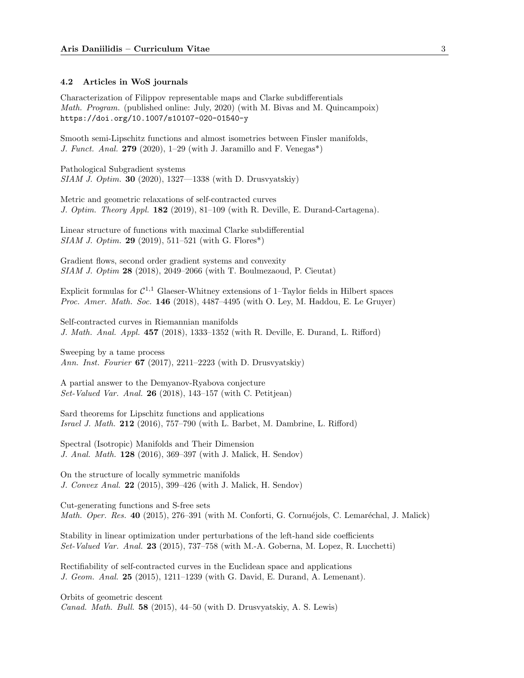#### 4.2 Articles in WoS journals

Characterization of Filippov representable maps and Clarke subdifferentials Math. Program. (published online: July, 2020) (with M. Bivas and M. Quincampoix) https://doi.org/10.1007/s10107-020-01540-y

Smooth semi-Lipschitz functions and almost isometries between Finsler manifolds, J. Funct. Anal. 279 (2020), 1–29 (with J. Jaramillo and F. Venegas<sup>\*</sup>)

Pathological Subgradient systems SIAM J. Optim. 30 (2020), 1327—1338 (with D. Drusvyatskiy)

Metric and geometric relaxations of self-contracted curves J. Optim. Theory Appl. 182 (2019), 81–109 (with R. Deville, E. Durand-Cartagena).

Linear structure of functions with maximal Clarke subdifferential SIAM J. Optim. 29 (2019), 511–521 (with G. Flores\*)

Gradient flows, second order gradient systems and convexity SIAM J. Optim 28 (2018), 2049–2066 (with T. Boulmezaoud, P. Cieutat)

Explicit formulas for  $C^{1,1}$  Glaeser-Whitney extensions of 1-Taylor fields in Hilbert spaces Proc. Amer. Math. Soc. 146 (2018), 4487-4495 (with O. Ley, M. Haddou, E. Le Gruyer)

Self-contracted curves in Riemannian manifolds J. Math. Anal. Appl. 457 (2018), 1333–1352 (with R. Deville, E. Durand, L. Rifford)

Sweeping by a tame process Ann. Inst. Fourier 67 (2017), 2211–2223 (with D. Drusvyatskiy)

A partial answer to the Demyanov-Ryabova conjecture Set-Valued Var. Anal. 26 (2018), 143–157 (with C. Petitjean)

Sard theorems for Lipschitz functions and applications Israel J. Math. 212 (2016), 757–790 (with L. Barbet, M. Dambrine, L. Rifford)

Spectral (Isotropic) Manifolds and Their Dimension J. Anal. Math. 128 (2016), 369–397 (with J. Malick, H. Sendov)

On the structure of locally symmetric manifolds J. Convex Anal. 22 (2015), 399–426 (with J. Malick, H. Sendov)

Cut-generating functions and S-free sets Math. Oper. Res. 40 (2015), 276–391 (with M. Conforti, G. Cornuéjols, C. Lemaréchal, J. Malick)

Stability in linear optimization under perturbations of the left-hand side coefficients Set-Valued Var. Anal. 23 (2015), 737–758 (with M.-A. Goberna, M. Lopez, R. Lucchetti)

Rectifiability of self-contracted curves in the Euclidean space and applications J. Geom. Anal. 25 (2015), 1211–1239 (with G. David, E. Durand, A. Lemenant).

Orbits of geometric descent Canad. Math. Bull. 58 (2015), 44–50 (with D. Drusvyatskiy, A. S. Lewis)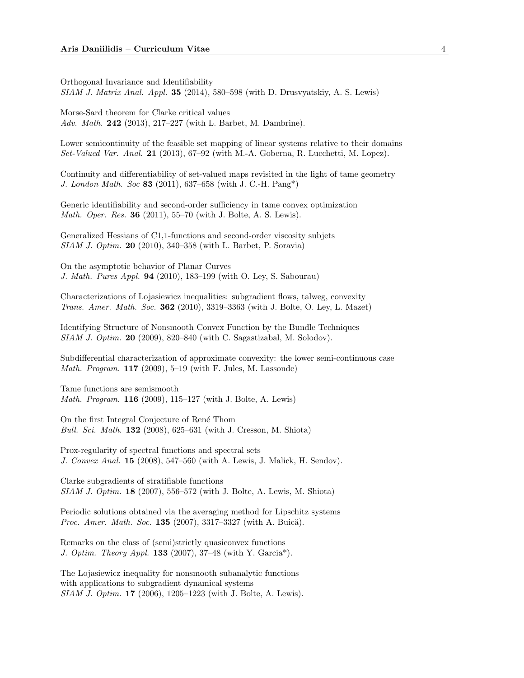Orthogonal Invariance and Identifiability  $SIAM J. Matrix Anal. Appl. 35 (2014), 580–598 (with D. Drusvatskiy, A. S. Lewis)$ 

Morse-Sard theorem for Clarke critical values Adv. Math. 242 (2013), 217-227 (with L. Barbet, M. Dambrine).

Lower semicontinuity of the feasible set mapping of linear systems relative to their domains Set-Valued Var. Anal. 21 (2013), 67–92 (with M.-A. Goberna, R. Lucchetti, M. Lopez).

Continuity and differentiability of set-valued maps revisited in the light of tame geometry J. London Math. Soc 83 (2011), 637–658 (with J. C.-H. Pang\*)

Generic identifiability and second-order sufficiency in tame convex optimization Math. Oper. Res. 36 (2011), 55–70 (with J. Bolte, A. S. Lewis).

Generalized Hessians of C1,1-functions and second-order viscosity subjets SIAM J. Optim. 20 (2010), 340–358 (with L. Barbet, P. Soravia)

On the asymptotic behavior of Planar Curves J. Math. Pures Appl. 94 (2010), 183–199 (with O. Ley, S. Sabourau)

Characterizations of Lojasiewicz inequalities: subgradient flows, talweg, convexity Trans. Amer. Math. Soc. 362 (2010), 3319–3363 (with J. Bolte, O. Ley, L. Mazet)

Identifying Structure of Nonsmooth Convex Function by the Bundle Techniques SIAM J. Optim. 20 (2009), 820–840 (with C. Sagastizabal, M. Solodov).

Subdifferential characterization of approximate convexity: the lower semi-continuous case *Math. Program.*  $117$  (2009), 5-19 (with F. Jules, M. Lassonde)

Tame functions are semismooth Math. Program. 116 (2009), 115–127 (with J. Bolte, A. Lewis)

On the first Integral Conjecture of Ren´e Thom Bull. Sci. Math. 132 (2008), 625–631 (with J. Cresson, M. Shiota)

Prox-regularity of spectral functions and spectral sets J. Convex Anal. 15 (2008), 547–560 (with A. Lewis, J. Malick, H. Sendov).

Clarke subgradients of stratifiable functions SIAM J. Optim. 18 (2007), 556–572 (with J. Bolte, A. Lewis, M. Shiota)

Periodic solutions obtained via the averaging method for Lipschitz systems *Proc. Amer. Math. Soc.* 135 (2007), 3317-3327 (with A. Buică).

Remarks on the class of (semi)strictly quasiconvex functions J. Optim. Theory Appl. 133 (2007), 37–48 (with Y. Garcia\*).

The Lojasiewicz inequality for nonsmooth subanalytic functions with applications to subgradient dynamical systems SIAM J. Optim. 17 (2006), 1205–1223 (with J. Bolte, A. Lewis).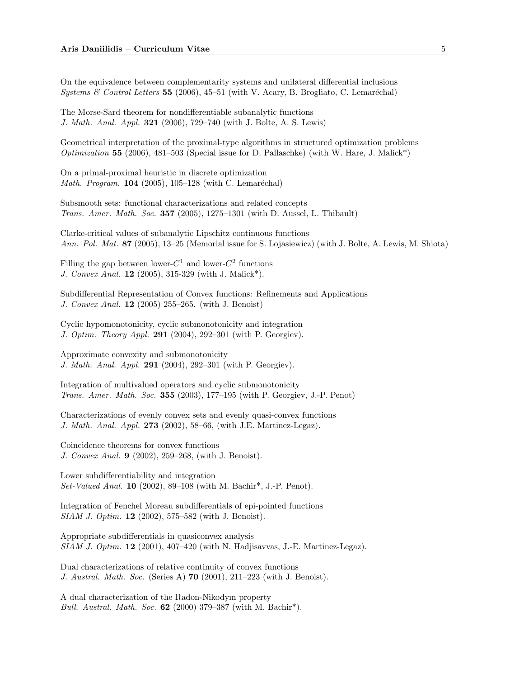On the equivalence between complementarity systems and unilateral differential inclusions Systems & Control Letters 55 (2006), 45–51 (with V. Acary, B. Brogliato, C. Lemaréchal)

The Morse-Sard theorem for nondifferentiable subanalytic functions J. Math. Anal. Appl. 321 (2006), 729–740 (with J. Bolte, A. S. Lewis)

Geometrical interpretation of the proximal-type algorithms in structured optimization problems Optimization 55 (2006), 481–503 (Special issue for D. Pallaschke) (with W. Hare, J. Malick<sup>\*</sup>)

On a primal-proximal heuristic in discrete optimization Math. Program.  $104$  (2005), 105-128 (with C. Lemaréchal)

Subsmooth sets: functional characterizations and related concepts Trans. Amer. Math. Soc. 357 (2005), 1275–1301 (with D. Aussel, L. Thibault)

Clarke-critical values of subanalytic Lipschitz continuous functions Ann. Pol. Mat. 87 (2005), 13–25 (Memorial issue for S. Lojasiewicz) (with J. Bolte, A. Lewis, M. Shiota)

Filling the gap between lower- $C^1$  and lower- $C^2$  functions J. Convex Anal. 12 (2005), 315-329 (with J. Malick\*).

Subdifferential Representation of Convex functions: Refinements and Applications J. Convex Anal. 12 (2005) 255–265. (with J. Benoist)

Cyclic hypomonotonicity, cyclic submonotonicity and integration J. Optim. Theory Appl. 291 (2004), 292–301 (with P. Georgiev).

Approximate convexity and submonotonicity J. Math. Anal. Appl. 291 (2004), 292–301 (with P. Georgiev).

Integration of multivalued operators and cyclic submonotonicity Trans. Amer. Math. Soc. 355 (2003), 177–195 (with P. Georgiev, J.-P. Penot)

Characterizations of evenly convex sets and evenly quasi-convex functions J. Math. Anal. Appl. 273 (2002), 58–66, (with J.E. Martinez-Legaz).

Coincidence theorems for convex functions J. Convex Anal. 9 (2002), 259–268, (with J. Benoist).

Lower subdifferentiability and integration Set-Valued Anal. 10 (2002), 89–108 (with M. Bachir\*, J.-P. Penot).

Integration of Fenchel Moreau subdifferentials of epi-pointed functions SIAM J. Optim. 12 (2002), 575–582 (with J. Benoist).

Appropriate subdifferentials in quasiconvex analysis  $SIAM J. Optim.$  **12** (2001), 407-420 (with N. Hadjisavvas, J.-E. Martinez-Legaz).

Dual characterizations of relative continuity of convex functions J. Austral. Math. Soc. (Series A) 70 (2001), 211–223 (with J. Benoist).

A dual characterization of the Radon-Nikodym property *Bull. Austral. Math. Soc.*  $62$  (2000) 379–387 (with M. Bachir<sup>\*</sup>).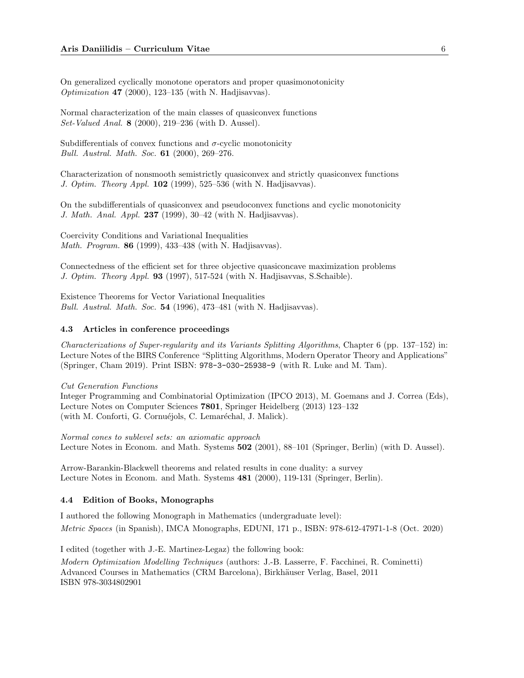On generalized cyclically monotone operators and proper quasimonotonicity *Optimization* 47 (2000), 123–135 (with N. Hadjisavvas).

Normal characterization of the main classes of quasiconvex functions Set-Valued Anal. 8 (2000), 219–236 (with D. Aussel).

Subdifferentials of convex functions and  $\sigma$ -cyclic monotonicity Bull. Austral. Math. Soc. 61 (2000), 269–276.

Characterization of nonsmooth semistrictly quasiconvex and strictly quasiconvex functions J. Optim. Theory Appl. 102 (1999), 525-536 (with N. Hadjisavvas).

On the subdifferentials of quasiconvex and pseudoconvex functions and cyclic monotonicity J. Math. Anal. Appl. 237 (1999), 30–42 (with N. Hadjisavvas).

Coercivity Conditions and Variational Inequalities Math. Program. 86 (1999), 433–438 (with N. Hadjisavvas).

Connectedness of the efficient set for three objective quasiconcave maximization problems J. Optim. Theory Appl. 93 (1997), 517-524 (with N. Hadjisavvas, S.Schaible).

Existence Theorems for Vector Variational Inequalities Bull. Austral. Math. Soc.  $54$  (1996), 473-481 (with N. Hadjisavvas).

### 4.3 Articles in conference proceedings

Characterizations of Super-regularity and its Variants Splitting Algorithms, Chapter 6 (pp. 137–152) in: Lecture Notes of the BIRS Conference "Splitting Algorithms, Modern Operator Theory and Applications" (Springer, Cham 2019). Print ISBN: 978-3-030-25938-9 (with R. Luke and M. Tam).

Cut Generation Functions

Integer Programming and Combinatorial Optimization (IPCO 2013), M. Goemans and J. Correa (Eds), Lecture Notes on Computer Sciences 7801, Springer Heidelberg (2013) 123–132 (with M. Conforti, G. Cornuéjols, C. Lemaréchal, J. Malick).

Normal cones to sublevel sets: an axiomatic approach Lecture Notes in Econom. and Math. Systems 502 (2001), 88–101 (Springer, Berlin) (with D. Aussel).

Arrow-Barankin-Blackwell theorems and related results in cone duality: a survey Lecture Notes in Econom. and Math. Systems 481 (2000), 119-131 (Springer, Berlin).

## 4.4 Edition of Books, Monographs

I authored the following Monograph in Mathematics (undergraduate level): Metric Spaces (in Spanish), IMCA Monographs, EDUNI, 171 p., ISBN: 978-612-47971-1-8 (Oct. 2020)

I edited (together with J.-E. Martinez-Legaz) the following book: Modern Optimization Modelling Techniques (authors: J.-B. Lasserre, F. Facchinei, R. Cominetti) Advanced Courses in Mathematics (CRM Barcelona), Birkhäuser Verlag, Basel, 2011 ISBN 978-3034802901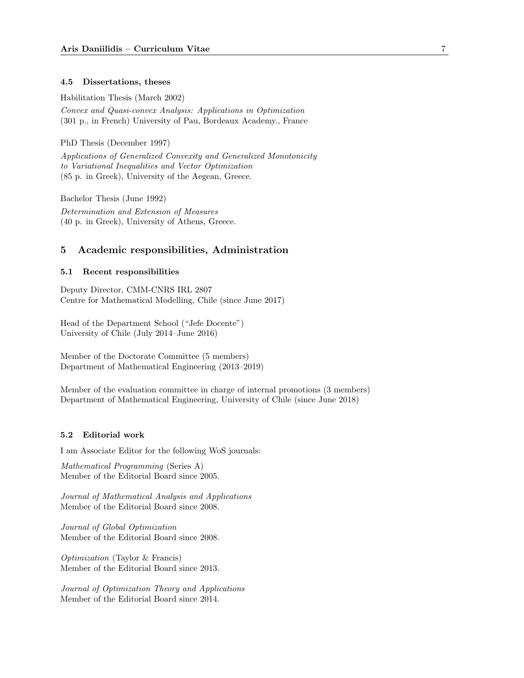## 4.5 Dissertations, theses

Habilitation Thesis (March 2002) Convex and Quasi-convex Analysis: Applications in Optimization (301 p., in French) University of Pau, Bordeaux Academy., France

PhD Thesis (December 1997)

Applications of Generalized Convexity and Generalized Monotonicity to Variational Inequalities and Vector Optimization (85 p. in Greek), University of the Aegean, Greece.

Bachelor Thesis (June 1992) Determination and Extension of Measures (40 p. in Greek), University of Athens, Greece.

## 5 Academic responsibilities, Administration

### 5.1 Recent responsibilities

Deputy Director, CMM-CNRS IRL 2807 Centre for Mathematical Modelling, Chile (since June 2017)

Head of the Department School ("Jefe Docente") University of Chile (July 2014–June 2016)

Member of the Doctorate Committee (5 members) Department of Mathematical Engineering (2013–2019)

Member of the evaluation committee in charge of internal promotions (3 members) Department of Mathematical Engineering, University of Chile (since June 2018)

# 5.2 Editorial work

I am Associate Editor for the following WoS journals:

Mathematical Programming (Series A) Member of the Editorial Board since 2005.

Journal of Mathematical Analysis and Applications Member of the Editorial Board since 2008.

Journal of Global Optimization Member of the Editorial Board since 2008.

Optimization (Taylor & Francis) Member of the Editorial Board since 2013.

Journal of Optimization Theory and Applications Member of the Editorial Board since 2014.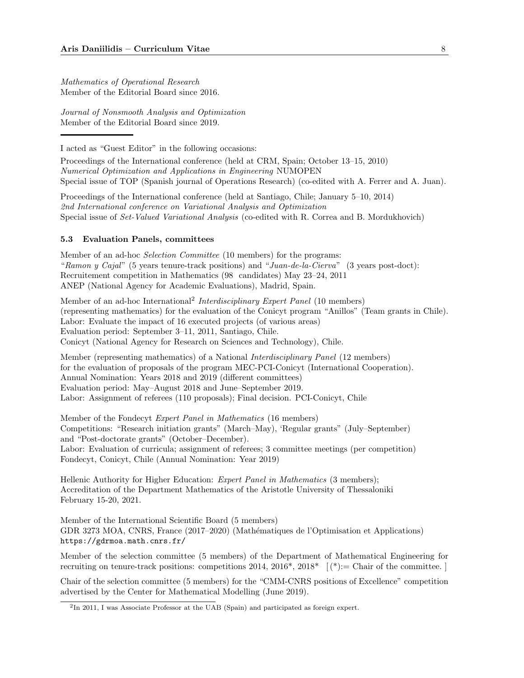Mathematics of Operational Research Member of the Editorial Board since 2016.

Journal of Nonsmooth Analysis and Optimization Member of the Editorial Board since 2019.

I acted as "Guest Editor" in the following occasions:

Proceedings of the International conference (held at CRM, Spain; October 13–15, 2010) Numerical Optimization and Applications in Engineering NUMOPEN Special issue of TOP (Spanish journal of Operations Research) (co-edited with A. Ferrer and A. Juan).

Proceedings of the International conference (held at Santiago, Chile; January 5–10, 2014) 2nd International conference on Variational Analysis and Optimization Special issue of Set-Valued Variational Analysis (co-edited with R. Correa and B. Mordukhovich)

### 5.3 Evaluation Panels, committees

Member of an ad-hoc Selection Committee (10 members) for the programs: "Ramon y Cajal" (5 years tenure-track positions) and "Juan-de-la-Cierva" (3 years post-doct): Recruitement competition in Mathematics (98 candidates) May 23–24, 2011 ANEP (National Agency for Academic Evaluations), Madrid, Spain.

Member of an ad-hoc International<sup>2</sup> Interdisciplinary Expert Panel (10 members) (representing mathematics) for the evaluation of the Conicyt program "Anillos" (Team grants in Chile). Labor: Evaluate the impact of 16 executed projects (of various areas) Evaluation period: September 3–11, 2011, Santiago, Chile. Conicyt (National Agency for Research on Sciences and Technology), Chile.

Member (representing mathematics) of a National Interdisciplinary Panel (12 members) for the evaluation of proposals of the program MEC-PCI-Conicyt (International Cooperation). Annual Nomination: Years 2018 and 2019 (different committees) Evaluation period: May–August 2018 and June–September 2019. Labor: Assignment of referees (110 proposals); Final decision. PCI-Conicyt, Chile

Member of the Fondecyt Expert Panel in Mathematics (16 members) Competitions: "Research initiation grants" (March–May), 'Regular grants" (July–September) and "Post-doctorate grants" (October–December). Labor: Evaluation of curricula; assignment of referees; 3 committee meetings (per competition) Fondecyt, Conicyt, Chile (Annual Nomination: Year 2019)

Hellenic Authority for Higher Education: Expert Panel in Mathematics (3 members); Accreditation of the Department Mathematics of the Aristotle University of Thessaloniki February 15-20, 2021.

Member of the International Scientific Board (5 members) GDR 3273 MOA, CNRS, France (2017–2020) (Math´ematiques de l'Optimisation et Applications) https://gdrmoa.math.cnrs.fr/

Member of the selection committee (5 members) of the Department of Mathematical Engineering for recruiting on tenure-track positions: competitions 2014, 2016\*, 2018\* [ (\*):= Chair of the committee. ]

Chair of the selection committee (5 members) for the "CMM-CNRS positions of Excellence" competition advertised by the Center for Mathematical Modelling (June 2019).

<sup>&</sup>lt;sup>2</sup>In 2011, I was Associate Professor at the UAB (Spain) and participated as foreign expert.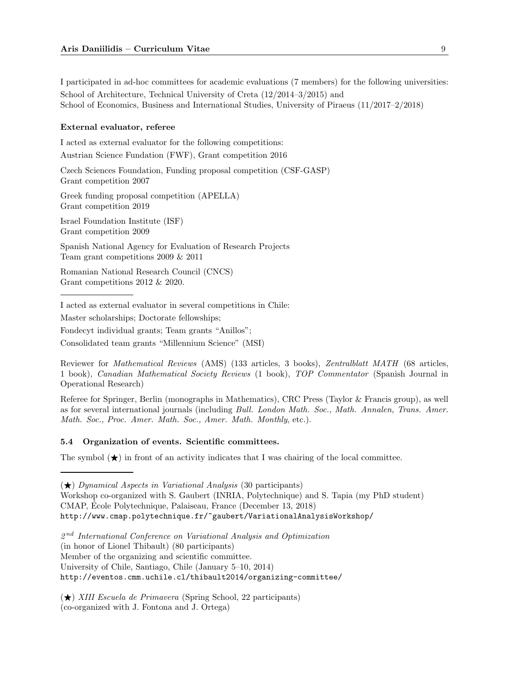I participated in ad-hoc committees for academic evaluations (7 members) for the following universities: School of Architecture, Technical University of Creta (12/2014–3/2015) and School of Economics, Business and International Studies, University of Piraeus (11/2017–2/2018)

#### External evaluator, referee

I acted as external evaluator for the following competitions: Austrian Science Fundation (FWF), Grant competition 2016

Czech Sciences Foundation, Funding proposal competition (CSF-GASP) Grant competition 2007

Greek funding proposal competition (APELLA) Grant competition 2019

Israel Foundation Institute (ISF) Grant competition 2009

Spanish National Agency for Evaluation of Research Projects Team grant competitions 2009 & 2011

Romanian National Research Council (CNCS) Grant competitions 2012 & 2020.

I acted as external evaluator in several competitions in Chile:

Master scholarships; Doctorate fellowships;

Fondecyt individual grants; Team grants "Anillos";

Consolidated team grants "Millennium Science" (MSI)

Reviewer for Mathematical Reviews (AMS) (133 articles, 3 books), Zentralblatt MATH (68 articles, 1 book), Canadian Mathematical Society Reviews (1 book), TOP Commentator (Spanish Journal in Operational Research)

Referee for Springer, Berlin (monographs in Mathematics), CRC Press (Taylor & Francis group), as well as for several international journals (including Bull. London Math. Soc., Math. Annalen, Trans. Amer. Math. Soc., Proc. Amer. Math. Soc., Amer. Math. Monthly, etc.).

#### 5.4 Organization of events. Scientific committees.

The symbol  $(\star)$  in front of an activity indicates that I was chairing of the local committee.

 $(\star)$  Dynamical Aspects in Variational Analysis (30 participants)

Workshop co-organized with S. Gaubert (INRIA, Polytechnique) and S. Tapia (my PhD student) CMAP, Ecole Polytechnique, Palaiseau, France (December 13, 2018) ´ http://www.cmap.polytechnique.fr/~gaubert/VariationalAnalysisWorkshop/

 $2<sup>nd</sup> International Conference on Variational Analysis and Optimization$ 

(in honor of Lionel Thibault) (80 participants)

Member of the organizing and scientific committee.

University of Chile, Santiago, Chile (January 5–10, 2014)

http://eventos.cmm.uchile.cl/thibault2014/organizing-committee/

 $(\star)$  XIII Escuela de Primavera (Spring School, 22 participants) (co-organized with J. Fontona and J. Ortega)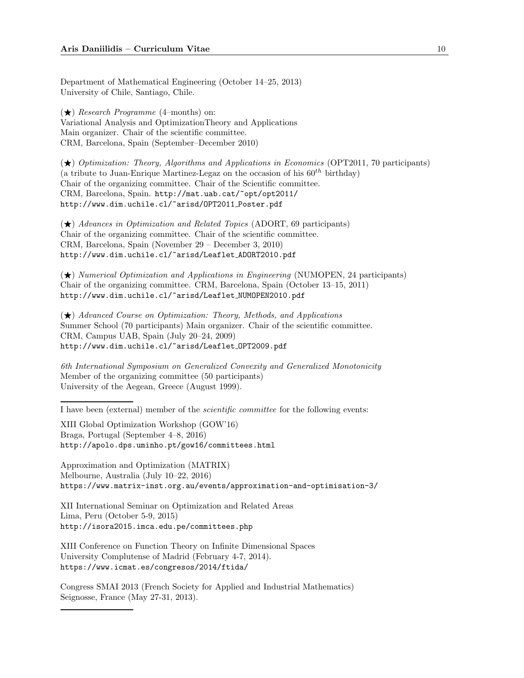Department of Mathematical Engineering (October 14–25, 2013) University of Chile, Santiago, Chile.

 $(\bigstar)$  Research Programme (4–months) on: Variational Analysis and OptimizationTheory and Applications Main organizer. Chair of the scientific committee. CRM, Barcelona, Spain (September–December 2010)

 $(\star)$  Optimization: Theory, Algorithms and Applications in Economics (OPT2011, 70 participants) (a tribute to Juan-Enrique Martinez-Legaz on the occasion of his  $60^{th}$  birthday) Chair of the organizing committee. Chair of the Scientific committee. CRM, Barcelona, Spain. http://mat.uab.cat/~opt/opt2011/ http://www.dim.uchile.cl/~arisd/OPT2011 Poster.pdf

 $(\star)$  Advances in Optimization and Related Topics (ADORT, 69 participants) Chair of the organizing committee. Chair of the scientific committee. CRM, Barcelona, Spain (November 29 – December 3, 2010) http://www.dim.uchile.cl/~arisd/Leaflet ADORT2010.pdf

 $(\star)$  Numerical Optimization and Applications in Engineering (NUMOPEN, 24 participants) Chair of the organizing committee. CRM, Barcelona, Spain (October 13–15, 2011) http://www.dim.uchile.cl/~arisd/Leaflet NUMOPEN2010.pdf

 $(\star)$  Advanced Course on Optimization: Theory, Methods, and Applications Summer School (70 participants) Main organizer. Chair of the scientific committee. CRM, Campus UAB, Spain (July 20–24, 2009) http://www.dim.uchile.cl/~arisd/Leaflet OPT2009.pdf

6th International Symposium on Generalized Convexity and Generalized Monotonicity Member of the organizing committee (50 participants) University of the Aegean, Greece (August 1999).

I have been (external) member of the scientific committee for the following events:

XIII Global Optimization Workshop (GOW'16) Braga, Portugal (September 4–8, 2016) http://apolo.dps.uminho.pt/gow16/committees.html

Approximation and Optimization (MATRIX) Melbourne, Australia (July 10–22, 2016) https://www.matrix-inst.org.au/events/approximation-and-optimisation-3/

XII International Seminar on Optimization and Related Areas Lima, Peru (October 5-9, 2015) http://isora2015.imca.edu.pe/committees.php

XIII Conference on Function Theory on Infinite Dimensional Spaces University Complutense of Madrid (February 4-7, 2014). https://www.icmat.es/congresos/2014/ftida/

Congress SMAI 2013 (French Society for Applied and Industrial Mathematics) Seignosse, France (May 27-31, 2013).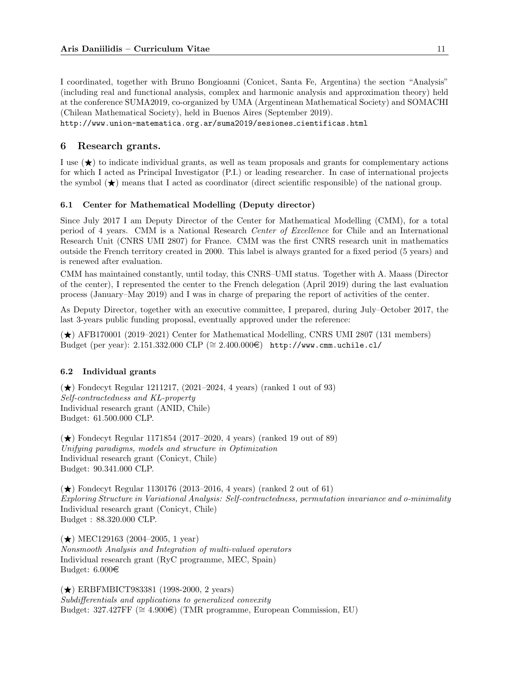I coordinated, together with Bruno Bongioanni (Conicet, Santa Fe, Argentina) the section "Analysis" (including real and functional analysis, complex and harmonic analysis and approximation theory) held at the conference SUMA2019, co-organized by UMA (Argentinean Mathematical Society) and SOMACHI (Chilean Mathematical Society), held in Buenos Aires (September 2019).

http://www.union-matematica.org.ar/suma2019/sesiones cientificas.html

# 6 Research grants.

I use  $(\star)$  to indicate individual grants, as well as team proposals and grants for complementary actions for which I acted as Principal Investigator (P.I.) or leading researcher. In case of international projects the symbol  $\star$ ) means that I acted as coordinator (direct scientific responsible) of the national group.

#### 6.1 Center for Mathematical Modelling (Deputy director)

Since July 2017 I am Deputy Director of the Center for Mathematical Modelling (CMM), for a total period of 4 years. CMM is a National Research Center of Excellence for Chile and an International Research Unit (CNRS UMI 2807) for France. CMM was the first CNRS research unit in mathematics outside the French territory created in 2000. This label is always granted for a fixed period (5 years) and is renewed after evaluation.

CMM has maintained constantly, until today, this CNRS–UMI status. Together with A. Maass (Director of the center), I represented the center to the French delegation (April 2019) during the last evaluation process (January–May 2019) and I was in charge of preparing the report of activities of the center.

As Deputy Director, together with an executive committee, I prepared, during July–October 2017, the last 3-years public funding proposal, eventually approved under the reference:

 $(\star)$  AFB170001 (2019–2021) Center for Mathematical Modelling, CNRS UMI 2807 (131 members) Budget (per year): 2.151.332.000 CLP (≅ 2.400.000€) http://www.cmm.uchile.cl/

### 6.2 Individual grants

 $(\star)$  Fondecyt Regular 1211217, (2021–2024, 4 years) (ranked 1 out of 93) Self-contractedness and KL-property Individual research grant (ANID, Chile) Budget: 61.500.000 CLP.

 $(\star)$  Fondecyt Regular 1171854 (2017–2020, 4 years) (ranked 19 out of 89) Unifying paradigms, models and structure in Optimization Individual research grant (Conicyt, Chile) Budget: 90.341.000 CLP.

 $(\star)$  Fondecyt Regular 1130176 (2013–2016, 4 years) (ranked 2 out of 61) Exploring Structure in Variational Analysis: Self-contractedness, permutation invariance and o-minimality Individual research grant (Conicyt, Chile) Budget : 88.320.000 CLP.

 $(\star)$  MEC129163 (2004–2005, 1 year) Nonsmooth Analysis and Integration of multi-valued operators Individual research grant (RyC programme, MEC, Spain) Budget:  $6.000 \in$ 

(★) ERBFMBICT983381 (1998-2000, 2 years) Subdifferentials and applications to generalized convexity Budget:  $327.427FF \ (\cong 4.900\epsilon)$  (TMR programme, European Commission, EU)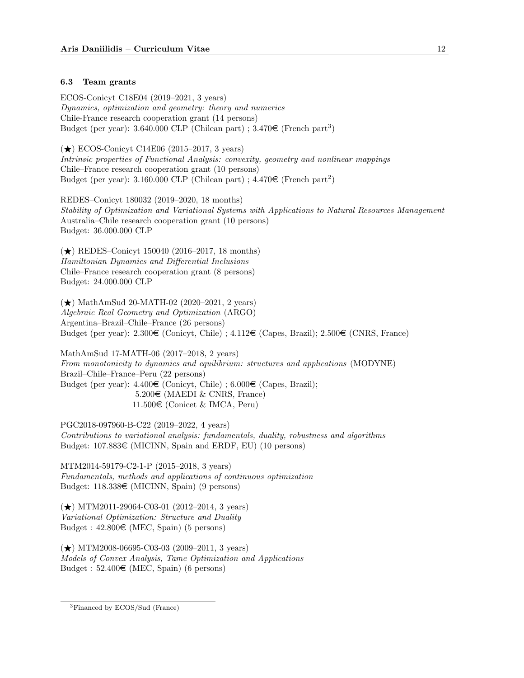## 6.3 Team grants

ECOS-Conicyt C18E04 (2019–2021, 3 years) Dynamics, optimization and geometry: theory and numerics Chile-France research cooperation grant (14 persons) Budget (per year):  $3.640.000$  CLP (Chilean part);  $3.470\epsilon$  (French part<sup>3</sup>)

 $(\star)$  ECOS-Conicyt C14E06 (2015–2017, 3 years) Intrinsic properties of Functional Analysis: convexity, geometry and nonlinear mappings Chile–France research cooperation grant (10 persons) Budget (per year):  $3.160.000$  CLP (Chilean part);  $4.470\epsilon$  (French part<sup>2</sup>)

REDES–Conicyt 180032 (2019–2020, 18 months) Stability of Optimization and Variational Systems with Applications to Natural Resources Management Australia–Chile research cooperation grant (10 persons) Budget: 36.000.000 CLP

 $(\star)$  REDES–Conicyt 150040 (2016–2017, 18 months) Hamiltonian Dynamics and Differential Inclusions Chile–France research cooperation grant (8 persons) Budget: 24.000.000 CLP

 $(\star)$  MathAmSud 20-MATH-02 (2020–2021, 2 years) Algebraic Real Geometry and Optimization (ARGO) Argentina–Brazil–Chile–France (26 persons) Budget (per year):  $2.300 \in$  (Conicyt, Chile) ;  $4.112 \in$  (Capes, Brazil);  $2.500 \in$  (CNRS, France)

MathAmSud 17-MATH-06 (2017–2018, 2 years) From monotonicity to dynamics and equilibrium: structures and applications (MODYNE) Brazil–Chile–France–Peru (22 persons) Budget (per year):  $4.400 \in$  (Conicyt, Chile) ;  $6.000 \in$  (Capes, Brazil);  $5.200\epsilon$  (MAEDI & CNRS, France) 11.500€ (Conicet & IMCA, Peru)

PGC2018-097960-B-C22 (2019–2022, 4 years) Contributions to variational analysis: fundamentals, duality, robustness and algorithms Budget:  $107.883 \in (MICINN, Spain and ERDF, EU)$  (10 persons)

MTM2014-59179-C2-1-P (2015–2018, 3 years) Fundamentals, methods and applications of continuous optimization Budget:  $118.338 \in (MICINN, Spain)$  (9 persons)

 $(\star)$  MTM2011-29064-C03-01 (2012–2014, 3 years) Variational Optimization: Structure and Duality Budget :  $42.800 \in (MEC, Spain)$  (5 persons)

 $(\star)$  MTM2008-06695-C03-03 (2009-2011, 3 years) Models of Convex Analysis, Tame Optimization and Applications Budget :  $52.400 \in (MEC, Spain)$  (6 persons)

<sup>3</sup>Financed by ECOS/Sud (France)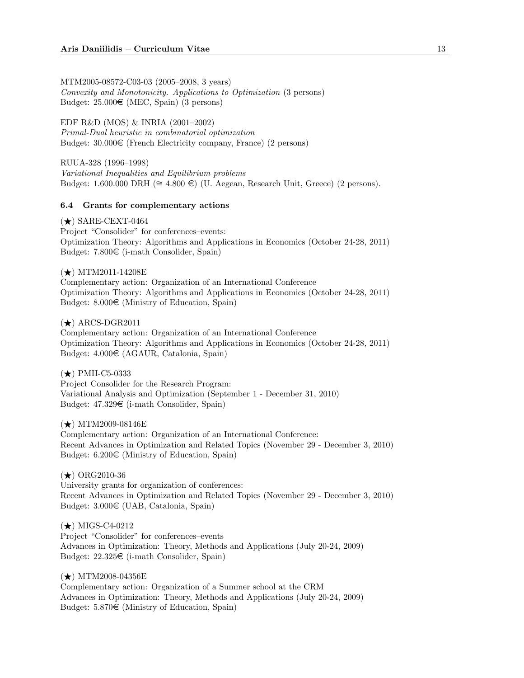MTM2005-08572-C03-03 (2005–2008, 3 years) Convexity and Monotonicity. Applications to Optimization (3 persons) Budget:  $25.000 \in (MEC, Spain)$  (3 persons)

EDF R&D (MOS) & INRIA (2001–2002) Primal-Dual heuristic in combinatorial optimization Budget:  $30.000 \in$  (French Electricity company, France) (2 persons)

RUUA-328 (1996–1998) Variational Inequalities and Equilibrium problems Budget: 1.600.000 DRH (≅ 4.800 €) (U. Aegean, Research Unit, Greece) (2 persons).

## 6.4 Grants for complementary actions

 $(\star)$  SARE-CEXT-0464 Project "Consolider" for conferences–events: Optimization Theory: Algorithms and Applications in Economics (October 24-28, 2011) Budget:  $7.800\in$  (i-math Consolider, Spain)

 $(\star)$  MTM2011-14208E Complementary action: Organization of an International Conference Optimization Theory: Algorithms and Applications in Economics (October 24-28, 2011) Budget:  $8.000 \in$  (Ministry of Education, Spain)

 $(\star)$  ARCS-DGR2011

Complementary action: Organization of an International Conference Optimization Theory: Algorithms and Applications in Economics (October 24-28, 2011) Budget: 4.000e (AGAUR, Catalonia, Spain)

 $(\star)$  PMII-C5-0333 Project Consolider for the Research Program: Variational Analysis and Optimization (September 1 - December 31, 2010) Budget:  $47.329 \in$  (i-math Consolider, Spain)

 $(\star)$  MTM2009-08146E Complementary action: Organization of an International Conference: Recent Advances in Optimization and Related Topics (November 29 - December 3, 2010) Budget:  $6.200 \in$  (Ministry of Education, Spain)

 $(\star)$  ORG2010-36 University grants for organization of conferences: Recent Advances in Optimization and Related Topics (November 29 - December 3, 2010) Budget:  $3.000 \in (UAB, \text{Catalonia}, \text{Spain})$ 

 $(\star)$  MIGS-C4-0212 Project "Consolider" for conferences–events Advances in Optimization: Theory, Methods and Applications (July 20-24, 2009) Budget:  $22.325 \in$  (i-math Consolider, Spain)

 $(\star)$  MTM2008-04356E Complementary action: Organization of a Summer school at the CRM Advances in Optimization: Theory, Methods and Applications (July 20-24, 2009) Budget:  $5.870 \in$  (Ministry of Education, Spain)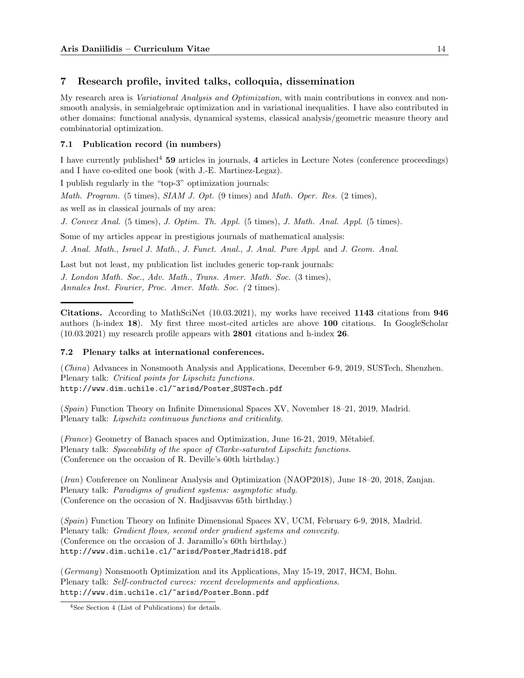# 7 Research profile, invited talks, colloquia, dissemination

My research area is Variational Analysis and Optimization, with main contributions in convex and nonsmooth analysis, in semialgebraic optimization and in variational inequalities. I have also contributed in other domains: functional analysis, dynamical systems, classical analysis/geometric measure theory and combinatorial optimization.

# 7.1 Publication record (in numbers)

I have currently published<sup>4</sup> 59 articles in journals, 4 articles in Lecture Notes (conference proceedings) and I have co-edited one book (with J.-E. Martinez-Legaz).

I publish regularly in the "top-3" optimization journals:

*Math. Program.* (5 times),  $SIAM J. Opt.$  (9 times) and *Math. Oper. Res.* (2 times),

as well as in classical journals of my area:

J. Convex Anal. (5 times), J. Optim. Th. Appl. (5 times), J. Math. Anal. Appl. (5 times).

Some of my articles appear in prestigious journals of mathematical analysis:

J. Anal. Math., Israel J. Math., J. Funct. Anal., J. Anal. Pure Appl. and J. Geom. Anal.

Last but not least, my publication list includes generic top-rank journals: J. London Math. Soc., Adv. Math., Trans. Amer. Math. Soc. (3 times), Annales Inst. Fourier, Proc. Amer. Math. Soc. ( 2 times).

Citations. According to MathSciNet (10.03.2021), my works have received 1143 citations from 946 authors (h-index 18). My first three most-cited articles are above 100 citations. In GoogleScholar (10.03.2021) my research profile appears with 2801 citations and h-index 26.

## 7.2 Plenary talks at international conferences.

(China) Advances in Nonsmooth Analysis and Applications, December 6-9, 2019, SUSTech, Shenzhen. Plenary talk: Critical points for Lipschitz functions. http://www.dim.uchile.cl/~arisd/Poster SUSTech.pdf

(Spain) Function Theory on Infinite Dimensional Spaces XV, November 18–21, 2019, Madrid. Plenary talk: Lipschitz continuous functions and criticality.

 $(France)$  Geometry of Banach spaces and Optimization, June 16-21, 2019, Métabief. Plenary talk: Spaceability of the space of Clarke-saturated Lipschitz functions. (Conference on the occasion of R. Deville's 60th birthday.)

(Iran) Conference on Nonlinear Analysis and Optimization (NAOP2018), June 18–20, 2018, Zanjan. Plenary talk: Paradigms of gradient systems: asymptotic study. (Conference on the occasion of N. Hadjisavvas 65th birthday.)

(Spain) Function Theory on Infinite Dimensional Spaces XV, UCM, February 6-9, 2018, Madrid. Plenary talk: Gradient flows, second order gradient systems and convexity. (Conference on the occasion of J. Jaramillo's 60th birthday.) http://www.dim.uchile.cl/~arisd/Poster Madrid18.pdf

(Germany) Nonsmooth Optimization and its Applications, May 15-19, 2017, HCM, Bohn. Plenary talk: Self-contracted curves: recent developments and applications. http://www.dim.uchile.cl/~arisd/Poster Bonn.pdf

<sup>4</sup>See Section 4 (List of Publications) for details.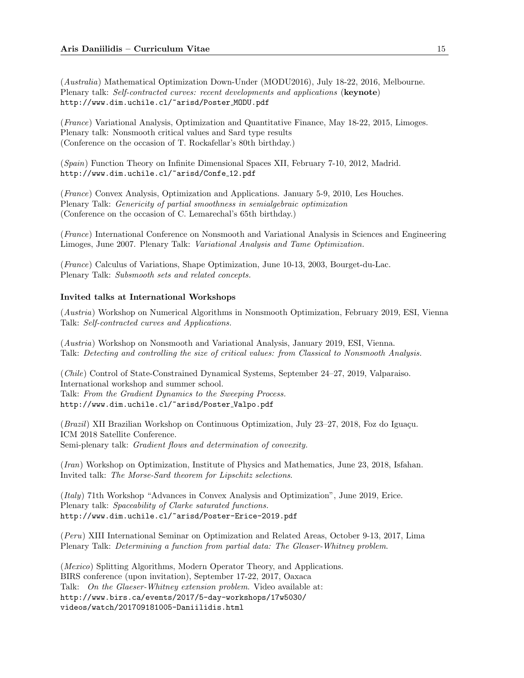(Australia) Mathematical Optimization Down-Under (MODU2016), July 18-22, 2016, Melbourne. Plenary talk: Self-contracted curves: recent developments and applications (keynote) http://www.dim.uchile.cl/~arisd/Poster MODU.pdf

(France) Variational Analysis, Optimization and Quantitative Finance, May 18-22, 2015, Limoges. Plenary talk: Nonsmooth critical values and Sard type results (Conference on the occasion of T. Rockafellar's 80th birthday.)

(Spain) Function Theory on Infinite Dimensional Spaces XII, February 7-10, 2012, Madrid. http://www.dim.uchile.cl/~arisd/Confe\_12.pdf

(France) Convex Analysis, Optimization and Applications. January 5-9, 2010, Les Houches. Plenary Talk: Genericity of partial smoothness in semialgebraic optimization (Conference on the occasion of C. Lemarechal's 65th birthday.)

(France) International Conference on Nonsmooth and Variational Analysis in Sciences and Engineering Limoges, June 2007. Plenary Talk: Variational Analysis and Tame Optimization.

(France) Calculus of Variations, Shape Optimization, June 10-13, 2003, Bourget-du-Lac. Plenary Talk: Subsmooth sets and related concepts.

### Invited talks at International Workshops

(Austria) Workshop on Numerical Algorithms in Nonsmooth Optimization, February 2019, ESI, Vienna Talk: Self-contracted curves and Applications.

(Austria) Workshop on Nonsmooth and Variational Analysis, January 2019, ESI, Vienna. Talk: Detecting and controlling the size of critical values: from Classical to Nonsmooth Analysis.

(Chile) Control of State-Constrained Dynamical Systems, September 24–27, 2019, Valparaiso. International workshop and summer school. Talk: From the Gradient Dynamics to the Sweeping Process. http://www.dim.uchile.cl/~arisd/Poster Valpo.pdf

 $(Brazil)$  XII Brazilian Workshop on Continuous Optimization, July 23–27, 2018, Foz do Iguaçu. ICM 2018 Satellite Conference. Semi-plenary talk: *Gradient flows and determination of convexity*.

(Iran) Workshop on Optimization, Institute of Physics and Mathematics, June 23, 2018, Isfahan. Invited talk: The Morse-Sard theorem for Lipschitz selections.

(Italy) 71th Workshop "Advances in Convex Analysis and Optimization", June 2019, Erice. Plenary talk: Spaceability of Clarke saturated functions. http://www.dim.uchile.cl/~arisd/Poster-Erice-2019.pdf

(Peru) XIII International Seminar on Optimization and Related Areas, October 9-13, 2017, Lima Plenary Talk: Determining a function from partial data: The Gleaser-Whitney problem.

(Mexico) Splitting Algorithms, Modern Operator Theory, and Applications. BIRS conference (upon invitation), September 17-22, 2017, Oaxaca Talk: On the Glaeser-Whitney extension problem. Video available at: http://www.birs.ca/events/2017/5-day-workshops/17w5030/ videos/watch/201709181005-Daniilidis.html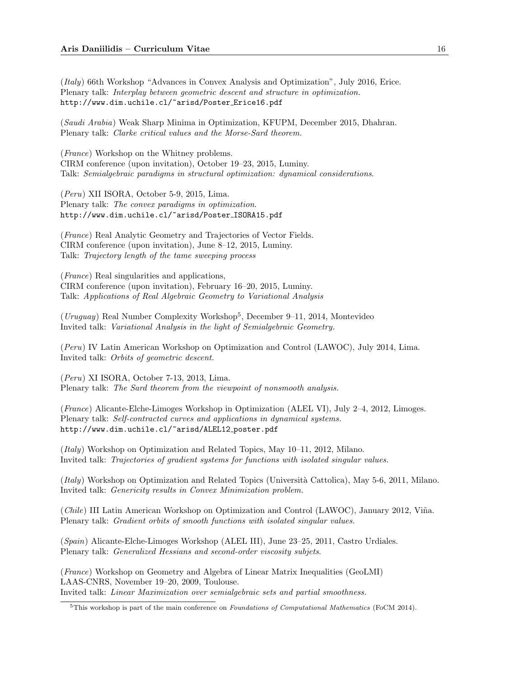(Italy) 66th Workshop "Advances in Convex Analysis and Optimization", July 2016, Erice. Plenary talk: Interplay between geometric descent and structure in optimization. http://www.dim.uchile.cl/~arisd/Poster Erice16.pdf

(Saudi Arabia) Weak Sharp Minima in Optimization, KFUPM, December 2015, Dhahran. Plenary talk: Clarke critical values and the Morse-Sard theorem.

(France) Workshop on the Whitney problems. CIRM conference (upon invitation), October 19–23, 2015, Luminy. Talk: Semialgebraic paradigms in structural optimization: dynamical considerations.

(Peru) XII ISORA, October 5-9, 2015, Lima. Plenary talk: The convex paradigms in optimization. http://www.dim.uchile.cl/~arisd/Poster ISORA15.pdf

(France) Real Analytic Geometry and Trajectories of Vector Fields. CIRM conference (upon invitation), June 8–12, 2015, Luminy. Talk: Trajectory length of the tame sweeping process

(France) Real singularities and applications, CIRM conference (upon invitation), February 16–20, 2015, Luminy. Talk: Applications of Real Algebraic Geometry to Variational Analysis

(Uruguay) Real Number Complexity Workshop<sup>5</sup> , December 9–11, 2014, Montevideo Invited talk: Variational Analysis in the light of Semialgebraic Geometry.

(Peru) IV Latin American Workshop on Optimization and Control (LAWOC), July 2014, Lima. Invited talk: Orbits of geometric descent.

(Peru) XI ISORA, October 7-13, 2013, Lima. Plenary talk: The Sard theorem from the viewpoint of nonsmooth analysis.

(France) Alicante-Elche-Limoges Workshop in Optimization (ALEL VI), July 2–4, 2012, Limoges. Plenary talk: Self-contracted curves and applications in dynamical systems. http://www.dim.uchile.cl/~arisd/ALEL12 poster.pdf

(*Italy*) Workshop on Optimization and Related Topics, May  $10-11$ , 2012, Milano. Invited talk: Trajectories of gradient systems for functions with isolated singular values.

(*Italy*) Workshop on Optimization and Related Topics (Università Cattolica), May 5-6, 2011, Milano. Invited talk: Genericity results in Convex Minimization problem.

(Chile) III Latin American Workshop on Optimization and Control (LAWOC), January 2012, Viña. Plenary talk: Gradient orbits of smooth functions with isolated singular values.

(Spain) Alicante-Elche-Limoges Workshop (ALEL III), June 23–25, 2011, Castro Urdiales. Plenary talk: Generalized Hessians and second-order viscosity subjets.

(France) Workshop on Geometry and Algebra of Linear Matrix Inequalities (GeoLMI) LAAS-CNRS, November 19–20, 2009, Toulouse. Invited talk: Linear Maximization over semialgebraic sets and partial smoothness.

<sup>&</sup>lt;sup>5</sup>This workshop is part of the main conference on *Foundations of Computational Mathematics* (FoCM 2014).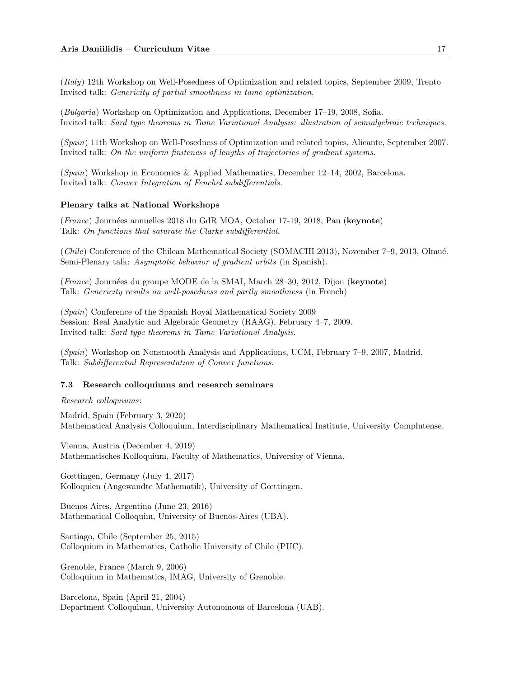(Italy) 12th Workshop on Well-Posedness of Optimization and related topics, September 2009, Trento Invited talk: Genericity of partial smoothness in tame optimization.

(Bulgaria) Workshop on Optimization and Applications, December 17–19, 2008, Sofia. Invited talk: Sard type theorems in Tame Variational Analysis: illustration of semialgebraic techniques.

(Spain) 11th Workshop on Well-Posedness of Optimization and related topics, Alicante, September 2007. Invited talk: On the uniform finiteness of lengths of trajectories of gradient systems.

(Spain) Workshop in Economics & Applied Mathematics, December 12–14, 2002, Barcelona. Invited talk: Convex Integration of Fenchel subdifferentials.

#### Plenary talks at National Workshops

(France) Journées annuelles 2018 du GdR MOA, October 17-19, 2018, Pau (keynote) Talk: On functions that saturate the Clarke subdifferential.

(*Chile*) Conference of the Chilean Mathematical Society (SOMACHI 2013), November 7–9, 2013, Olmué. Semi-Plenary talk: Asymptotic behavior of gradient orbits (in Spanish).

(France) Journées du groupe MODE de la SMAI, March 28–30, 2012, Dijon (keynote) Talk: Genericity results on well-posedness and partly smoothness (in French)

(Spain) Conference of the Spanish Royal Mathematical Society 2009 Session: Real Analytic and Algebraic Geometry (RAAG), February 4–7, 2009. Invited talk: Sard type theorems in Tame Variational Analysis.

(Spain) Workshop on Nonsmooth Analysis and Applications, UCM, February 7–9, 2007, Madrid. Talk: Subdifferential Representation of Convex functions.

### 7.3 Research colloquiums and research seminars

Research colloquiums:

Madrid, Spain (February 3, 2020) Mathematical Analysis Colloquium, Interdisciplinary Mathematical Institute, University Complutense.

Vienna, Austria (December 4, 2019) Mathematisches Kolloquium, Faculty of Mathematics, University of Vienna.

Gœttingen, Germany (July 4, 2017) Kolloquien (Angewandte Mathematik), University of Gœttingen.

Buenos Aires, Argentina (June 23, 2016) Mathematical Colloquim, University of Buenos-Aires (UBA).

Santiago, Chile (September 25, 2015) Colloquium in Mathematics, Catholic University of Chile (PUC).

Grenoble, France (March 9, 2006) Colloquium in Mathematics, IMAG, University of Grenoble.

Barcelona, Spain (April 21, 2004) Department Colloquium, University Autonomous of Barcelona (UAB).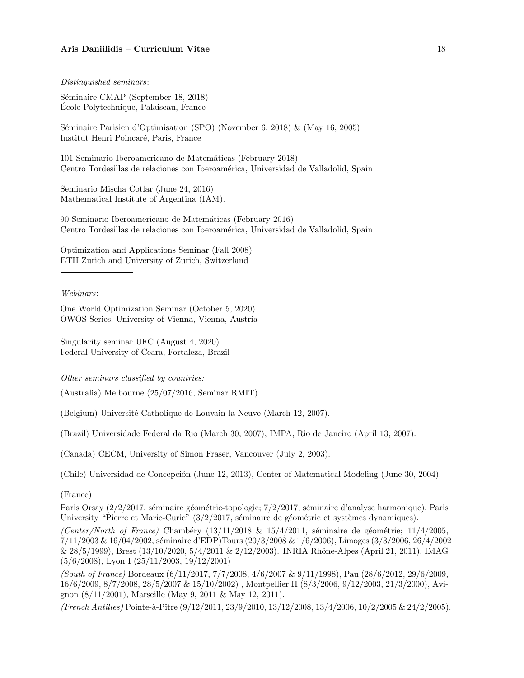#### Distinguished seminars:

Séminaire CMAP (September 18, 2018) Ecole Polytechnique, Palaiseau, France ´

Séminaire Parisien d'Optimisation (SPO) (November 6, 2018) & (May 16, 2005) Institut Henri Poincaré, Paris, France

101 Seminario Iberoamericano de Matem´aticas (February 2018) Centro Tordesillas de relaciones con Iberoamérica, Universidad de Valladolid, Spain

Seminario Mischa Cotlar (June 24, 2016) Mathematical Institute of Argentina (IAM).

90 Seminario Iberoamericano de Matem´aticas (February 2016) Centro Tordesillas de relaciones con Iberoamérica, Universidad de Valladolid, Spain

Optimization and Applications Seminar (Fall 2008) ETH Zurich and University of Zurich, Switzerland

#### Webinars:

One World Optimization Seminar (October 5, 2020) OWOS Series, University of Vienna, Vienna, Austria

Singularity seminar UFC (August 4, 2020) Federal University of Ceara, Fortaleza, Brazil

Other seminars classified by countries:

(Australia) Melbourne (25/07/2016, Seminar RMIT).

(Belgium) Université Catholique de Louvain-la-Neuve (March 12, 2007).

(Brazil) Universidade Federal da Rio (March 30, 2007), IMPA, Rio de Janeiro (April 13, 2007).

(Canada) CECM, University of Simon Fraser, Vancouver (July 2, 2003).

(Chile) Universidad de Concepción (June 12, 2013), Center of Matematical Modeling (June 30, 2004).

## (France)

Paris Orsay (2/2/2017, séminaire géométrie-topologie; 7/2/2017, séminaire d'analyse harmonique), Paris University "Pierre et Marie-Curie"  $\left(\frac{3}{2}\right)$  (2017, séminaire de géométrie et systèmes dynamiques).

(Center/North of France) Chambéry  $(13/11/2018 \& 15/4/2011)$ , séminaire de géométrie;  $11/4/2005$ ,  $7/11/2003 \& 16/04/2002$ , séminaire d'EDP)Tours (20/3/2008  $\& 1/6/2006$ ), Limoges (3/3/2006, 26/4/2002  $\&$  28/5/1999), Brest (13/10/2020, 5/4/2011  $\&$  2/12/2003). INRIA Rhône-Alpes (April 21, 2011), IMAG (5/6/2008), Lyon I (25/11/2003, 19/12/2001)

(South of France) Bordeaux (6/11/2017, 7/7/2008, 4/6/2007 & 9/11/1998), Pau (28/6/2012, 29/6/2009, 16/6/2009, 8/7/2008, 28/5/2007 & 15/10/2002) , Montpellier II (8/3/2006, 9/12/2003, 21/3/2000), Avignon (8/11/2001), Marseille (May 9, 2011 & May 12, 2011).

(French Antilles) Pointe-à-Pître (9/12/2011, 23/9/2010, 13/12/2008, 13/4/2006, 10/2/2005 & 24/2/2005).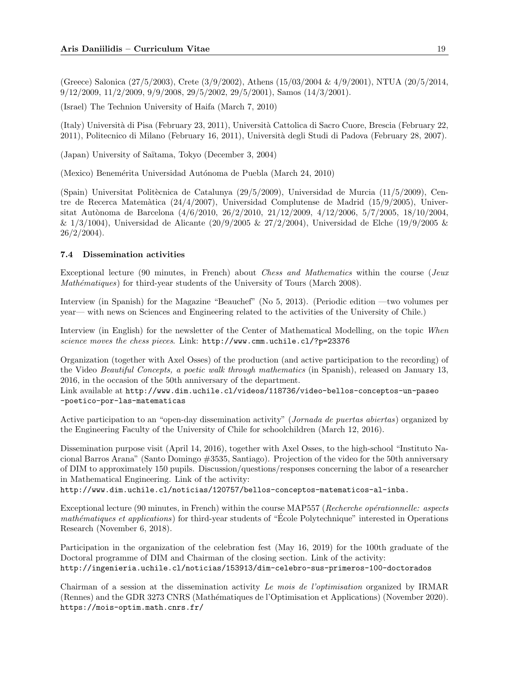(Greece) Salonica (27/5/2003), Crete (3/9/2002), Athens (15/03/2004 & 4/9/2001), NTUA (20/5/2014, 9/12/2009, 11/2/2009, 9/9/2008, 29/5/2002, 29/5/2001), Samos (14/3/2001).

(Israel) The Technion University of Haifa (March 7, 2010)

(Italy) Universit`a di Pisa (February 23, 2011), Universit`a Cattolica di Sacro Cuore, Brescia (February 22, 2011), Politecnico di Milano (February 16, 2011), Università degli Studi di Padova (February 28, 2007).

(Japan) University of Saïtama, Tokyo (December 3, 2004)

(Mexico) Benemérita Universidad Autónoma de Puebla (March 24, 2010)

(Spain) Universitat Politècnica de Catalunya (29/5/2009), Universidad de Murcia (11/5/2009), Centre de Recerca Matemàtica (24/4/2007), Universidad Complutense de Madrid (15/9/2005), Universitat Autònoma de Barcelona (4/6/2010, 26/2/2010, 21/12/2009, 4/12/2006, 5/7/2005, 18/10/2004,  $\& 1/3/1004$ ), Universidad de Alicante (20/9/2005  $& 27/2/2004$ ), Universidad de Elche (19/9/2005  $&$  $26/2/2004$ .

### 7.4 Dissemination activities

Exceptional lecture (90 minutes, in French) about Chess and Mathematics within the course (Jeux Mathématiques) for third-year students of the University of Tours (March 2008).

Interview (in Spanish) for the Magazine "Beauchef" (No 5, 2013). (Periodic edition —two volumes per year— with news on Sciences and Engineering related to the activities of the University of Chile.)

Interview (in English) for the newsletter of the Center of Mathematical Modelling, on the topic When science moves the chess pieces. Link: http://www.cmm.uchile.cl/?p=23376

Organization (together with Axel Osses) of the production (and active participation to the recording) of the Video Beautiful Concepts, a poetic walk through mathematics (in Spanish), released on January 13, 2016, in the occasion of the 50th anniversary of the department.

Link available at http://www.dim.uchile.cl/videos/118736/video-bellos-conceptos-un-paseo -poetico-por-las-matematicas

Active participation to an "open-day dissemination activity" (Jornada de puertas abiertas) organized by the Engineering Faculty of the University of Chile for schoolchildren (March 12, 2016).

Dissemination purpose visit (April 14, 2016), together with Axel Osses, to the high-school "Instituto Nacional Barros Arana" (Santo Domingo #3535, Santiago). Projection of the video for the 50th anniversary of DIM to approximately 150 pupils. Discussion/questions/responses concerning the labor of a researcher in Mathematical Engineering. Link of the activity:

http://www.dim.uchile.cl/noticias/120757/bellos-conceptos-matematicos-al-inba.

Exceptional lecture (90 minutes, in French) within the course MAP557 (Recherche opérationnelle: aspects mathématiques et applications) for third-year students of "École Polytechnique" interested in Operations Research (November 6, 2018).

Participation in the organization of the celebration fest (May 16, 2019) for the 100th graduate of the Doctoral programme of DIM and Chairman of the closing section. Link of the activity: http://ingenieria.uchile.cl/noticias/153913/dim-celebro-sus-primeros-100-doctorados

Chairman of a session at the dissemination activity Le mois de l'optimisation organized by IRMAR (Rennes) and the GDR 3273 CNRS (Math´ematiques de l'Optimisation et Applications) (November 2020). https://mois-optim.math.cnrs.fr/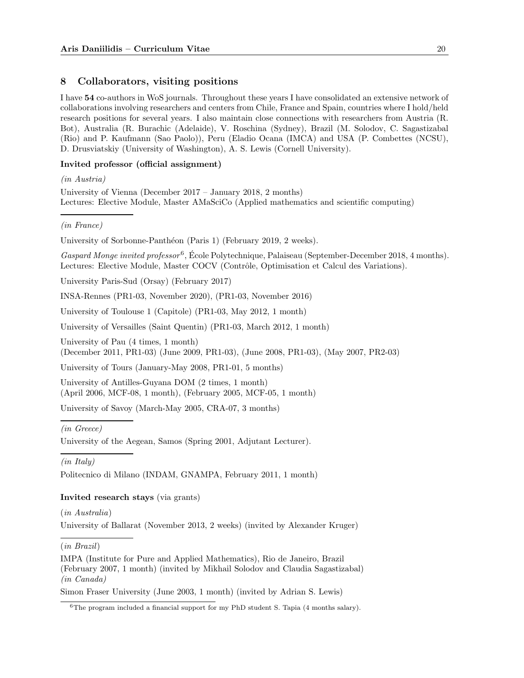# 8 Collaborators, visiting positions

I have 54 co-authors in WoS journals. Throughout these years I have consolidated an extensive network of collaborations involving researchers and centers from Chile, France and Spain, countries where I hold/held research positions for several years. I also maintain close connections with researchers from Austria (R. Bot), Australia (R. Burachic (Adelaide), V. Roschina (Sydney), Brazil (M. Solodov, C. Sagastizabal (Rio) and P. Kaufmann (Sao Paolo)), Peru (Eladio Ocana (IMCA) and USA (P. Combettes (NCSU), D. Drusviatskiy (University of Washington), A. S. Lewis (Cornell University).

### Invited professor (official assignment)

(in Austria)

University of Vienna (December 2017 – January 2018, 2 months) Lectures: Elective Module, Master AMaSciCo (Applied mathematics and scientific computing)

(in France)

University of Sorbonne-Panthéon (Paris 1) (February 2019, 2 weeks).

Gaspard Monge invited professor<sup>6</sup>, École Polytechnique, Palaiseau (September-December 2018, 4 months). Lectures: Elective Module, Master COCV (Contrôle, Optimisation et Calcul des Variations).

University Paris-Sud (Orsay) (February 2017)

INSA-Rennes (PR1-03, November 2020), (PR1-03, November 2016)

University of Toulouse 1 (Capitole) (PR1-03, May 2012, 1 month)

University of Versailles (Saint Quentin) (PR1-03, March 2012, 1 month)

University of Pau (4 times, 1 month)

(December 2011, PR1-03) (June 2009, PR1-03), (June 2008, PR1-03), (May 2007, PR2-03)

University of Tours (January-May 2008, PR1-01, 5 months)

University of Antilles-Guyana DOM (2 times, 1 month) (April 2006, MCF-08, 1 month), (February 2005, MCF-05, 1 month)

University of Savoy (March-May 2005, CRA-07, 3 months)

### (in Greece)

University of the Aegean, Samos (Spring 2001, Adjutant Lecturer).

(in Italy)

Politecnico di Milano (INDAM, GNAMPA, February 2011, 1 month)

### Invited research stays (via grants)

(in Australia)

University of Ballarat (November 2013, 2 weeks) (invited by Alexander Kruger)

(in Brazil)

IMPA (Institute for Pure and Applied Mathematics), Rio de Janeiro, Brazil (February 2007, 1 month) (invited by Mikhail Solodov and Claudia Sagastizabal) (in Canada)

Simon Fraser University (June 2003, 1 month) (invited by Adrian S. Lewis)

<sup>6</sup>The program included a financial support for my PhD student S. Tapia (4 months salary).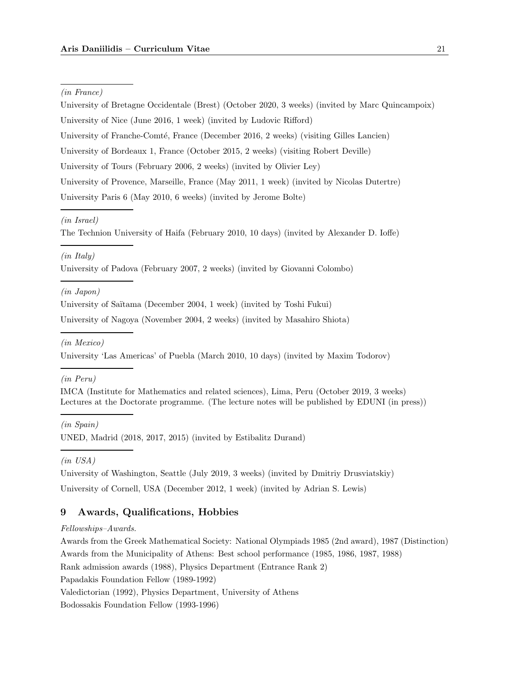#### (in France)

University of Bretagne Occidentale (Brest) (October 2020, 3 weeks) (invited by Marc Quincampoix) University of Nice (June 2016, 1 week) (invited by Ludovic Rifford) University of Franche-Comté, France (December 2016, 2 weeks) (visiting Gilles Lancien) University of Bordeaux 1, France (October 2015, 2 weeks) (visiting Robert Deville) University of Tours (February 2006, 2 weeks) (invited by Olivier Ley) University of Provence, Marseille, France (May 2011, 1 week) (invited by Nicolas Dutertre) University Paris 6 (May 2010, 6 weeks) (invited by Jerome Bolte)

### (in Israel)

The Technion University of Haifa (February 2010, 10 days) (invited by Alexander D. Ioffe)

### (in Italy)

University of Padova (February 2007, 2 weeks) (invited by Giovanni Colombo)

### (in Japon)

University of Saïtama (December 2004, 1 week) (invited by Toshi Fukui)

University of Nagoya (November 2004, 2 weeks) (invited by Masahiro Shiota)

# (in Mexico)

University 'Las Americas' of Puebla (March 2010, 10 days) (invited by Maxim Todorov)

#### (in Peru)

IMCA (Institute for Mathematics and related sciences), Lima, Peru (October 2019, 3 weeks) Lectures at the Doctorate programme. (The lecture notes will be published by EDUNI (in press))

(in Spain) UNED, Madrid (2018, 2017, 2015) (invited by Estibalitz Durand)

(in USA)

University of Washington, Seattle (July 2019, 3 weeks) (invited by Dmitriy Drusviatskiy)

University of Cornell, USA (December 2012, 1 week) (invited by Adrian S. Lewis)

# 9 Awards, Qualifications, Hobbies

### Fellowships–Awards.

Awards from the Greek Mathematical Society: National Olympiads 1985 (2nd award), 1987 (Distinction) Awards from the Municipality of Athens: Best school performance (1985, 1986, 1987, 1988) Rank admission awards (1988), Physics Department (Entrance Rank 2)

Papadakis Foundation Fellow (1989-1992)

Valedictorian (1992), Physics Department, University of Athens

Bodossakis Foundation Fellow (1993-1996)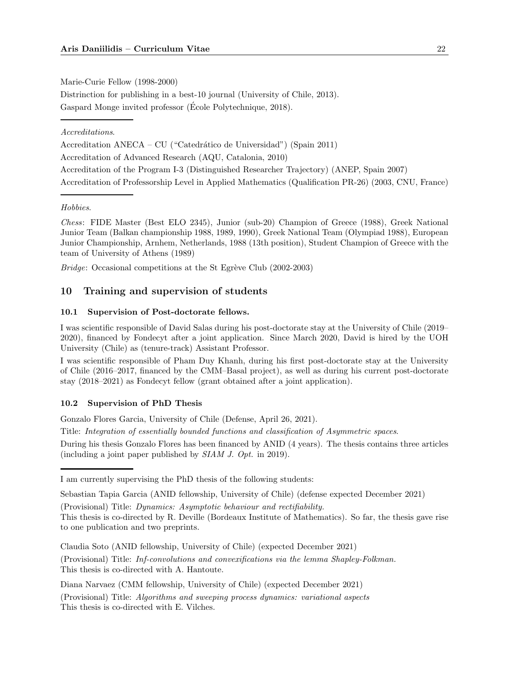Marie-Curie Fellow (1998-2000)

Distrinction for publishing in a best-10 journal (University of Chile, 2013). Gaspard Monge invited professor (Ecole Polytechnique, 2018). ´

Accreditations.

Accreditation ANECA – CU ("Catedrático de Universidad") (Spain 2011) Accreditation of Advanced Research (AQU, Catalonia, 2010) Accreditation of the Program I-3 (Distinguished Researcher Trajectory) (ANEP, Spain 2007) Accreditation of Professorship Level in Applied Mathematics (Qualification PR-26) (2003, CNU, France)

# Hobbies.

Chess: FIDE Master (Best ELO 2345), Junior (sub-20) Champion of Greece (1988), Greek National Junior Team (Balkan championship 1988, 1989, 1990), Greek National Team (Olympiad 1988), European Junior Championship, Arnhem, Netherlands, 1988 (13th position), Student Champion of Greece with the team of University of Athens (1989)

*Bridge*: Occasional competitions at the St Egrève Club  $(2002-2003)$ 

# 10 Training and supervision of students

# 10.1 Supervision of Post-doctorate fellows.

I was scientific responsible of David Salas during his post-doctorate stay at the University of Chile (2019– 2020), financed by Fondecyt after a joint application. Since March 2020, David is hired by the UOH University (Chile) as (tenure-track) Assistant Professor.

I was scientific responsible of Pham Duy Khanh, during his first post-doctorate stay at the University of Chile (2016–2017, financed by the CMM–Basal project), as well as during his current post-doctorate stay (2018–2021) as Fondecyt fellow (grant obtained after a joint application).

## 10.2 Supervision of PhD Thesis

Gonzalo Flores Garcia, University of Chile (Defense, April 26, 2021).

Title: Integration of essentially bounded functions and classification of Asymmetric spaces.

During his thesis Gonzalo Flores has been financed by ANID (4 years). The thesis contains three articles (including a joint paper published by SIAM J. Opt. in 2019).

I am currently supervising the PhD thesis of the following students:

Sebastian Tapia Garcia (ANID fellowship, University of Chile) (defense expected December 2021)

<sup>(</sup>Provisional) Title: Dynamics: Asymptotic behaviour and rectifiability.

This thesis is co-directed by R. Deville (Bordeaux Institute of Mathematics). So far, the thesis gave rise to one publication and two preprints.

Claudia Soto (ANID fellowship, University of Chile) (expected December 2021)

<sup>(</sup>Provisional) Title: Inf-convolutions and convexifications via the lemma Shapley-Folkman. This thesis is co-directed with A. Hantoute.

Diana Narvaez (CMM fellowship, University of Chile) (expected December 2021)

<sup>(</sup>Provisional) Title: Algorithms and sweeping process dynamics: variational aspects This thesis is co-directed with E. Vilches.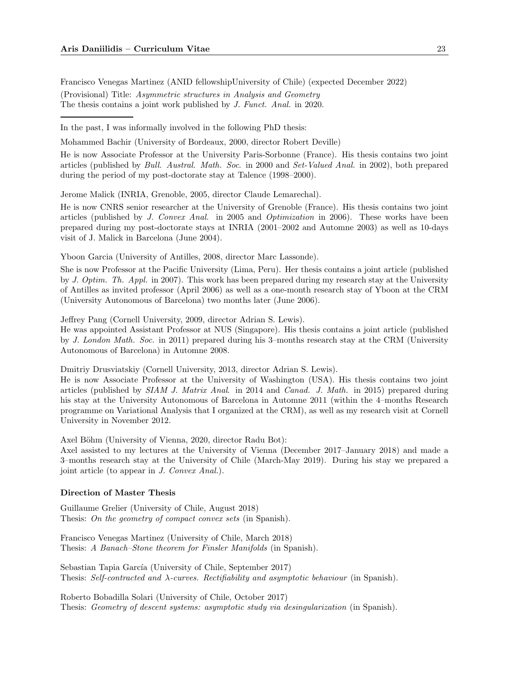Francisco Venegas Martinez (ANID fellowshipUniversity of Chile) (expected December 2022) (Provisional) Title: Asymmetric structures in Analysis and Geometry The thesis contains a joint work published by J. Funct. Anal. in 2020.

In the past, I was informally involved in the following PhD thesis:

Mohammed Bachir (University of Bordeaux, 2000, director Robert Deville)

He is now Associate Professor at the University Paris-Sorbonne (France). His thesis contains two joint articles (published by Bull. Austral. Math. Soc. in 2000 and Set-Valued Anal. in 2002), both prepared during the period of my post-doctorate stay at Talence (1998–2000).

Jerome Malick (INRIA, Grenoble, 2005, director Claude Lemarechal).

He is now CNRS senior researcher at the University of Grenoble (France). His thesis contains two joint articles (published by J. Convex Anal. in 2005 and Optimization in 2006). These works have been prepared during my post-doctorate stays at INRIA (2001–2002 and Automne 2003) as well as 10-days visit of J. Malick in Barcelona (June 2004).

Yboon Garcia (University of Antilles, 2008, director Marc Lassonde).

She is now Professor at the Pacific University (Lima, Peru). Her thesis contains a joint article (published by J. Optim. Th. Appl. in 2007). This work has been prepared during my research stay at the University of Antilles as invited professor (April 2006) as well as a one-month research stay of Yboon at the CRM (University Autonomous of Barcelona) two months later (June 2006).

Jeffrey Pang (Cornell University, 2009, director Adrian S. Lewis).

He was appointed Assistant Professor at NUS (Singapore). His thesis contains a joint article (published by J. London Math. Soc. in 2011) prepared during his 3–months research stay at the CRM (University Autonomous of Barcelona) in Automne 2008.

Dmitriy Drusviatskiy (Cornell University, 2013, director Adrian S. Lewis).

He is now Associate Professor at the University of Washington (USA). His thesis contains two joint articles (published by SIAM J. Matrix Anal. in 2014 and Canad. J. Math. in 2015) prepared during his stay at the University Autonomous of Barcelona in Automne 2011 (within the 4–months Research programme on Variational Analysis that I organized at the CRM), as well as my research visit at Cornell University in November 2012.

Axel Böhm (University of Vienna, 2020, director Radu Bot):

Axel assisted to my lectures at the University of Vienna (December 2017–January 2018) and made a 3–months research stay at the University of Chile (March-May 2019). During his stay we prepared a joint article (to appear in J. Convex Anal.).

#### Direction of Master Thesis

Guillaume Grelier (University of Chile, August 2018) Thesis: On the geometry of compact convex sets (in Spanish).

Francisco Venegas Martinez (University of Chile, March 2018) Thesis: A Banach–Stone theorem for Finsler Manifolds (in Spanish).

Sebastian Tapia García (University of Chile, September 2017) Thesis: Self-contracted and  $\lambda$ -curves. Rectifiability and asymptotic behaviour (in Spanish).

Roberto Bobadilla Solari (University of Chile, October 2017) Thesis: Geometry of descent systems: asymptotic study via desingularization (in Spanish).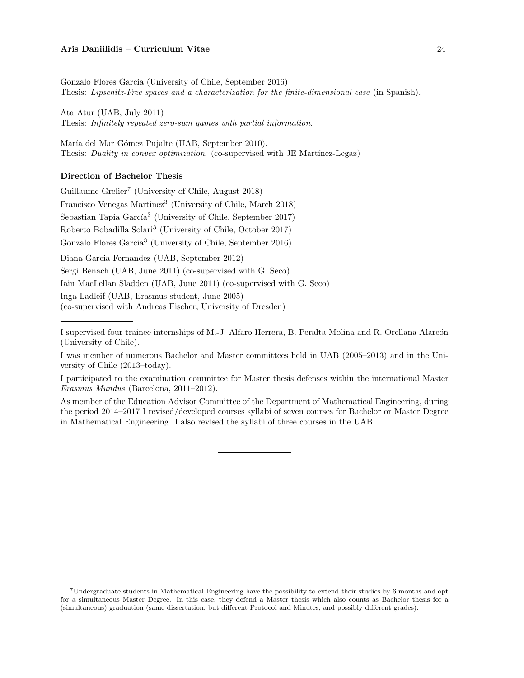Gonzalo Flores Garcia (University of Chile, September 2016) Thesis: Lipschitz-Free spaces and a characterization for the finite-dimensional case (in Spanish).

Ata Atur (UAB, July 2011) Thesis: Infinitely repeated zero-sum games with partial information.

María del Mar Gómez Pujalte (UAB, September 2010). Thesis: Duality in convex optimization. (co-supervised with JE Martínez-Legaz)

#### Direction of Bachelor Thesis

Guillaume Grelier<sup>7</sup> (University of Chile, August 2018) Francisco Venegas Martinez<sup>3</sup> (University of Chile, March 2018) Sebastian Tapia García<sup>3</sup> (University of Chile, September 2017) Roberto Bobadilla Solari<sup>3</sup> (University of Chile, October 2017) Gonzalo Flores Garcia<sup>3</sup> (University of Chile, September 2016)

Diana Garcia Fernandez (UAB, September 2012)

Sergi Benach (UAB, June 2011) (co-supervised with G. Seco)

Iain MacLellan Sladden (UAB, June 2011) (co-supervised with G. Seco)

Inga Ladleif (UAB, Erasmus student, June 2005)

(co-supervised with Andreas Fischer, University of Dresden)

I supervised four trainee internships of M.-J. Alfaro Herrera, B. Peralta Molina and R. Orellana Alarcón (University of Chile).

I was member of numerous Bachelor and Master committees held in UAB (2005–2013) and in the University of Chile (2013–today).

I participated to the examination committee for Master thesis defenses within the international Master Erasmus Mundus (Barcelona, 2011–2012).

As member of the Education Advisor Committee of the Department of Mathematical Engineering, during the period 2014–2017 I revised/developed courses syllabi of seven courses for Bachelor or Master Degree in Mathematical Engineering. I also revised the syllabi of three courses in the UAB.

<sup>7</sup>Undergraduate students in Mathematical Engineering have the possibility to extend their studies by 6 months and opt for a simultaneous Master Degree. In this case, they defend a Master thesis which also counts as Bachelor thesis for a (simultaneous) graduation (same dissertation, but different Protocol and Minutes, and possibly different grades).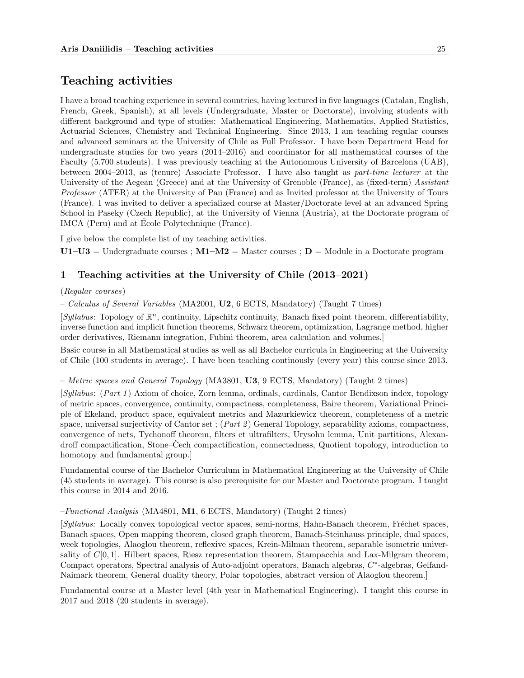# Teaching activities

I have a broad teaching experience in several countries, having lectured in five languages (Catalan, English, French, Greek, Spanish), at all levels (Undergraduate, Master or Doctorate), involving students with different background and type of studies: Mathematical Engineering, Mathematics, Applied Statistics, Actuarial Sciences, Chemistry and Technical Engineering. Since 2013, I am teaching regular courses and advanced seminars at the University of Chile as Full Professor. I have been Department Head for undergraduate studies for two years (2014–2016) and coordinator for all mathematical courses of the Faculty (5.700 students). I was previously teaching at the Autonomous University of Barcelona (UAB), between 2004–2013, as (tenure) Associate Professor. I have also taught as part-time lecturer at the University of the Aegean (Greece) and at the University of Grenoble (France), as (fixed-term) Assistant Professor (ATER) at the University of Pau (France) and as Invited professor at the University of Tours (France). I was invited to deliver a specialized course at Master/Doctorate level at an advanced Spring School in Paseky (Czech Republic), at the University of Vienna (Austria), at the Doctorate program of IMCA (Peru) and at Ecole Polytechnique (France).

I give below the complete list of my teaching activities.

 $U1-U3 =$  Undergraduate courses ;  $M1-M2 =$  Master courses ;  $D =$  Module in a Doctorate program

# 1 Teaching activities at the University of Chile (2013–2021)

### (Regular courses)

– Calculus of Several Variables (MA2001, U2, 6 ECTS, Mandatory) (Taught 7 times)

 $[Syllabus: Topology of  $\mathbb{R}^n$ , continuity, Lipschitz continuity, Banach fixed point theorem, differentiability,$ inverse function and implicit function theorems, Schwarz theorem, optimization, Lagrange method, higher order derivatives, Riemann integration, Fubini theorem, area calculation and volumes.]

Basic course in all Mathematical studies as well as all Bachelor curricula in Engineering at the University of Chile (100 students in average). I have been teaching continously (every year) this course since 2013.

– Metric spaces and General Topology (MA3801, U3, 9 ECTS, Mandatory) (Taught 2 times)

[Syllabus: (Part 1 ) Axiom of choice, Zorn lemma, ordinals, cardinals, Cantor Bendixson index, topology of metric spaces, convergence, continuity, compactness, completeness, Baire theorem, Variational Principle of Ekeland, product space, equivalent metrics and Mazurkiewicz theorem, completeness of a metric space, universal surjectivity of Cantor set;  $(Part 2)$  General Topology, separability axioms, compactness, convergence of nets, Tychonoff theorem, filters et ultrafilters, Urysohn lemma, Unit partitions, Alexandroff compactification, Stone–Cech compactification, connectedness, Quotient topology, introduction to homotopy and fundamental group.]

Fundamental course of the Bachelor Curriculum in Mathematical Engineering at the University of Chile (45 students in average). This course is also prerequisite for our Master and Doctorate program. I taught this course in 2014 and 2016.

#### $-Functional\ Analysis$  (MA4801, M1, 6 ECTS, Mandatory) (Taught 2 times)

[Syllabus: Locally convex topological vector spaces, semi-norms, Hahn-Banach theorem, Fréchet spaces, Banach spaces, Open mapping theorem, closed graph theorem, Banach-Steinhauss principle, dual spaces, week topologies, Alaoglou theorem, reflexive spaces, Krein-Milman theorem, separable isometric universality of  $C[0, 1]$ . Hilbert spaces, Riesz representation theorem, Stampacchia and Lax-Milgram theorem, Compact operators, Spectral analysis of Auto-adjoint operators, Banach algebras, C\*-algebras, Gelfand-Naimark theorem, General duality theory, Polar topologies, abstract version of Alaoglou theorem.]

Fundamental course at a Master level (4th year in Mathematical Engineering). I taught this course in 2017 and 2018 (20 students in average).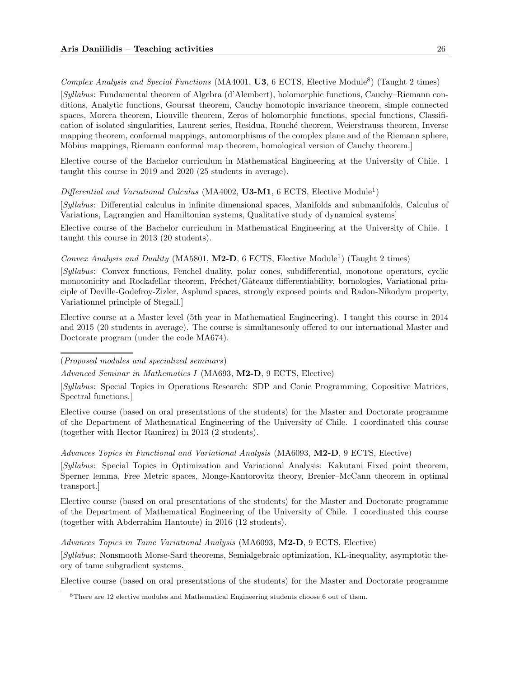Complex Analysis and Special Functions (MA4001, U3, 6 ECTS, Elective Module<sup>8</sup>) (Taught 2 times)

[Syllabus: Fundamental theorem of Algebra (d'Alembert), holomorphic functions, Cauchy–Riemann conditions, Analytic functions, Goursat theorem, Cauchy homotopic invariance theorem, simple connected spaces, Morera theorem, Liouville theorem, Zeros of holomorphic functions, special functions, Classification of isolated singularities, Laurent series, Residua, Rouché theorem, Weierstrauss theorem, Inverse mapping theorem, conformal mappings, automorphisms of the complex plane and of the Riemann sphere, Möbius mappings, Riemann conformal map theorem, homological version of Cauchy theorem.

Elective course of the Bachelor curriculum in Mathematical Engineering at the University of Chile. I taught this course in 2019 and 2020 (25 students in average).

Differential and Variational Calculus (MA4002, U3-M1, 6 ECTS, Elective Module<sup>1</sup>)

[Syllabus: Differential calculus in infinite dimensional spaces, Manifolds and submanifolds, Calculus of Variations, Lagrangien and Hamiltonian systems, Qualitative study of dynamical systems]

Elective course of the Bachelor curriculum in Mathematical Engineering at the University of Chile. I taught this course in 2013 (20 students).

Convex Analysis and Duality (MA5801, M2-D, 6 ECTS, Elective Module<sup>1</sup>) (Taught 2 times)

[Syllabus: Convex functions, Fenchel duality, polar cones, subdifferential, monotone operators, cyclic monotonicity and Rockafellar theorem, Fréchet/Gâteaux differentiability, bornologies, Variational principle of Deville-Godefroy-Zizler, Asplund spaces, strongly exposed points and Radon-Nikodym property, Variationnel principle of Stegall.]

Elective course at a Master level (5th year in Mathematical Engineering). I taught this course in 2014 and 2015 (20 students in average). The course is simultanesouly offered to our international Master and Doctorate program (under the code MA674).

(Proposed modules and specialized seminars)

Advanced Seminar in Mathematics I (MA693, M2-D, 9 ECTS, Elective)

[Syllabus: Special Topics in Operations Research: SDP and Conic Programming, Copositive Matrices, Spectral functions.]

Elective course (based on oral presentations of the students) for the Master and Doctorate programme of the Department of Mathematical Engineering of the University of Chile. I coordinated this course (together with Hector Ramirez) in 2013 (2 students).

Advances Topics in Functional and Variational Analysis (MA6093, M2-D, 9 ECTS, Elective)

[Syllabus: Special Topics in Optimization and Variational Analysis: Kakutani Fixed point theorem, Sperner lemma, Free Metric spaces, Monge-Kantorovitz theory, Brenier–McCann theorem in optimal transport.]

Elective course (based on oral presentations of the students) for the Master and Doctorate programme of the Department of Mathematical Engineering of the University of Chile. I coordinated this course (together with Abderrahim Hantoute) in 2016 (12 students).

Advances Topics in Tame Variational Analysis (MA6093, M2-D, 9 ECTS, Elective)

[Syllabus: Nonsmooth Morse-Sard theorems, Semialgebraic optimization, KL-inequality, asymptotic theory of tame subgradient systems.]

Elective course (based on oral presentations of the students) for the Master and Doctorate programme

<sup>8</sup>There are 12 elective modules and Mathematical Engineering students choose 6 out of them.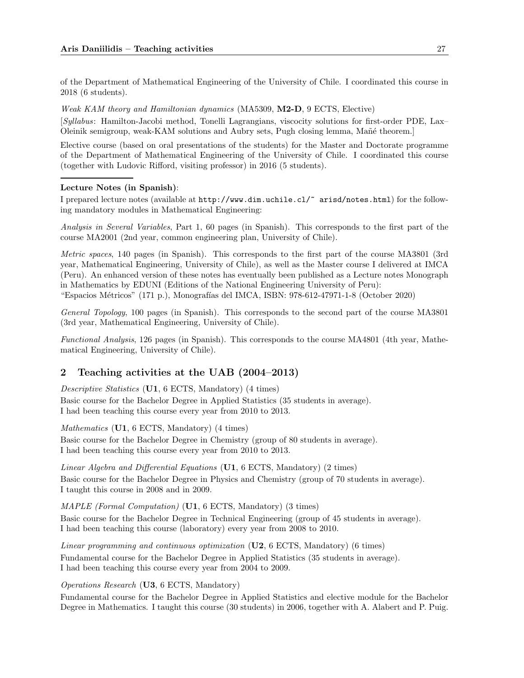of the Department of Mathematical Engineering of the University of Chile. I coordinated this course in 2018 (6 students).

Weak KAM theory and Hamiltonian dynamics (MA5309, M2-D, 9 ECTS, Elective) [Syllabus: Hamilton-Jacobi method, Tonelli Lagrangians, viscocity solutions for first-order PDE, Lax– Oleinik semigroup, weak-KAM solutions and Aubry sets, Pugh closing lemma, Mañé theorem.

Elective course (based on oral presentations of the students) for the Master and Doctorate programme of the Department of Mathematical Engineering of the University of Chile. I coordinated this course (together with Ludovic Rifford, visiting professor) in 2016 (5 students).

### Lecture Notes (in Spanish):

I prepared lecture notes (available at http://www.dim.uchile.cl/~ arisd/notes.html) for the following mandatory modules in Mathematical Engineering:

Analysis in Several Variables, Part 1, 60 pages (in Spanish). This corresponds to the first part of the course MA2001 (2nd year, common engineering plan, University of Chile).

Metric spaces, 140 pages (in Spanish). This corresponds to the first part of the course MA3801 (3rd year, Mathematical Engineering, University of Chile), as well as the Master course I delivered at IMCA (Peru). An enhanced version of these notes has eventually been published as a Lecture notes Monograph in Mathematics by EDUNI (Editions of the National Engineering University of Peru):

"Espacios M´etricos" (171 p.), Monograf´ıas del IMCA, ISBN: 978-612-47971-1-8 (October 2020)

General Topology, 100 pages (in Spanish). This corresponds to the second part of the course MA3801 (3rd year, Mathematical Engineering, University of Chile).

Functional Analysis, 126 pages (in Spanish). This corresponds to the course MA4801 (4th year, Mathematical Engineering, University of Chile).

# 2 Teaching activities at the UAB (2004–2013)

Descriptive Statistics (U1, 6 ECTS, Mandatory) (4 times) Basic course for the Bachelor Degree in Applied Statistics (35 students in average).

I had been teaching this course every year from 2010 to 2013.

Mathematics (U1, 6 ECTS, Mandatory) (4 times)

Basic course for the Bachelor Degree in Chemistry (group of 80 students in average). I had been teaching this course every year from 2010 to 2013.

Linear Algebra and Differential Equations ( $\overline{U1}$ , 6 ECTS, Mandatory) (2 times) Basic course for the Bachelor Degree in Physics and Chemistry (group of 70 students in average). I taught this course in 2008 and in 2009.

MAPLE (Formal Computation) (U1, 6 ECTS, Mandatory) (3 times)

Basic course for the Bachelor Degree in Technical Engineering (group of 45 students in average). I had been teaching this course (laboratory) every year from 2008 to 2010.

Linear programming and continuous optimization  $(U2, 6$  ECTS, Mandatory) (6 times) Fundamental course for the Bachelor Degree in Applied Statistics (35 students in average). I had been teaching this course every year from 2004 to 2009.

Operations Research (U3, 6 ECTS, Mandatory)

Fundamental course for the Bachelor Degree in Applied Statistics and elective module for the Bachelor Degree in Mathematics. I taught this course (30 students) in 2006, together with A. Alabert and P. Puig.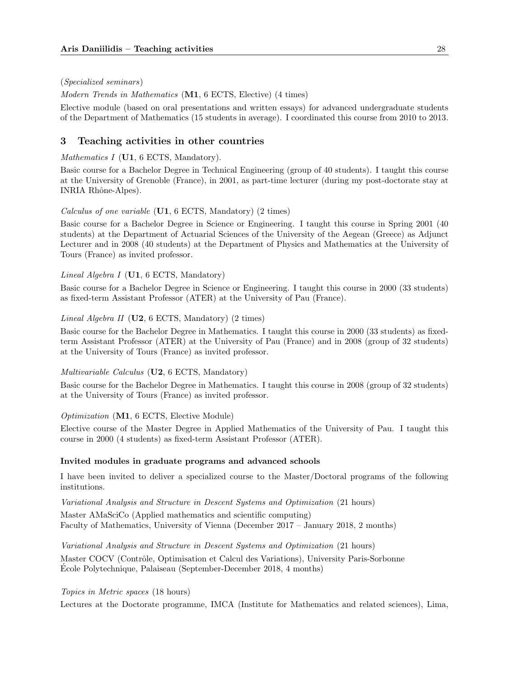### (Specialized seminars)

Modern Trends in Mathematics (M1, 6 ECTS, Elective) (4 times)

Elective module (based on oral presentations and written essays) for advanced undergraduate students of the Department of Mathematics (15 students in average). I coordinated this course from 2010 to 2013.

## 3 Teaching activities in other countries

Mathematics I (U1, 6 ECTS, Mandatory).

Basic course for a Bachelor Degree in Technical Engineering (group of 40 students). I taught this course at the University of Grenoble (France), in 2001, as part-time lecturer (during my post-doctorate stay at INRIA Rhône-Alpes).

Calculus of one variable (U1, 6 ECTS, Mandatory) (2 times)

Basic course for a Bachelor Degree in Science or Engineering. I taught this course in Spring 2001 (40 students) at the Department of Actuarial Sciences of the University of the Aegean (Greece) as Adjunct Lecturer and in 2008 (40 students) at the Department of Physics and Mathematics at the University of Tours (France) as invited professor.

#### *Lineal Algebra I* (U1, 6 ECTS, Mandatory)

Basic course for a Bachelor Degree in Science or Engineering. I taught this course in 2000 (33 students) as fixed-term Assistant Professor (ATER) at the University of Pau (France).

### *Lineal Algebra II* ( $U2$ , 6 ECTS, Mandatory) (2 times)

Basic course for the Bachelor Degree in Mathematics. I taught this course in 2000 (33 students) as fixedterm Assistant Professor (ATER) at the University of Pau (France) and in 2008 (group of 32 students) at the University of Tours (France) as invited professor.

## Multivariable Calculus (U2, 6 ECTS, Mandatory)

Basic course for the Bachelor Degree in Mathematics. I taught this course in 2008 (group of 32 students) at the University of Tours (France) as invited professor.

### Optimization (M1, 6 ECTS, Elective Module)

Elective course of the Master Degree in Applied Mathematics of the University of Pau. I taught this course in 2000 (4 students) as fixed-term Assistant Professor (ATER).

#### Invited modules in graduate programs and advanced schools

I have been invited to deliver a specialized course to the Master/Doctoral programs of the following institutions.

Variational Analysis and Structure in Descent Systems and Optimization (21 hours)

Master AMaSciCo (Applied mathematics and scientific computing) Faculty of Mathematics, University of Vienna (December 2017 – January 2018, 2 months)

Variational Analysis and Structure in Descent Systems and Optimization (21 hours) Master COCV (Contrôle, Optimisation et Calcul des Variations), University Paris-Sorbonne Ecole Polytechnique, Palaiseau (September-December 2018, 4 months) ´

Topics in Metric spaces (18 hours)

Lectures at the Doctorate programme, IMCA (Institute for Mathematics and related sciences), Lima,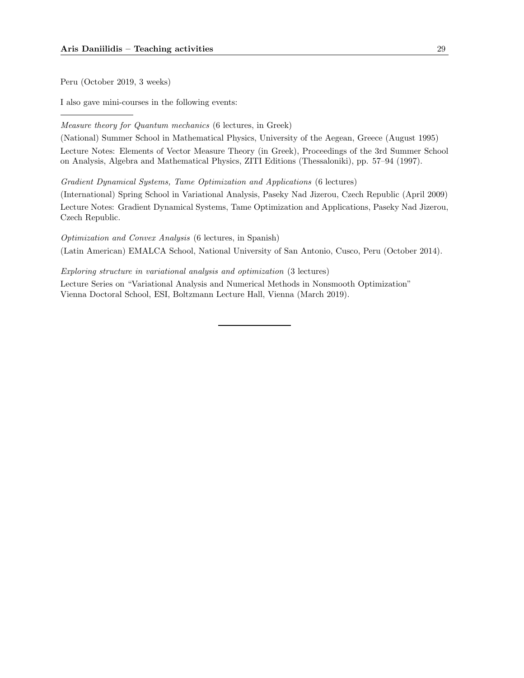Peru (October 2019, 3 weeks)

I also gave mini-courses in the following events:

Measure theory for Quantum mechanics (6 lectures, in Greek)

(National) Summer School in Mathematical Physics, University of the Aegean, Greece (August 1995) Lecture Notes: Elements of Vector Measure Theory (in Greek), Proceedings of the 3rd Summer School on Analysis, Algebra and Mathematical Physics, ZITI Editions (Thessaloniki), pp. 57–94 (1997).

Gradient Dynamical Systems, Tame Optimization and Applications (6 lectures)

(International) Spring School in Variational Analysis, Paseky Nad Jizerou, Czech Republic (April 2009) Lecture Notes: Gradient Dynamical Systems, Tame Optimization and Applications, Paseky Nad Jizerou, Czech Republic.

Optimization and Convex Analysis (6 lectures, in Spanish) (Latin American) EMALCA School, National University of San Antonio, Cusco, Peru (October 2014).

Exploring structure in variational analysis and optimization (3 lectures)

Lecture Series on "Variational Analysis and Numerical Methods in Nonsmooth Optimization" Vienna Doctoral School, ESI, Boltzmann Lecture Hall, Vienna (March 2019).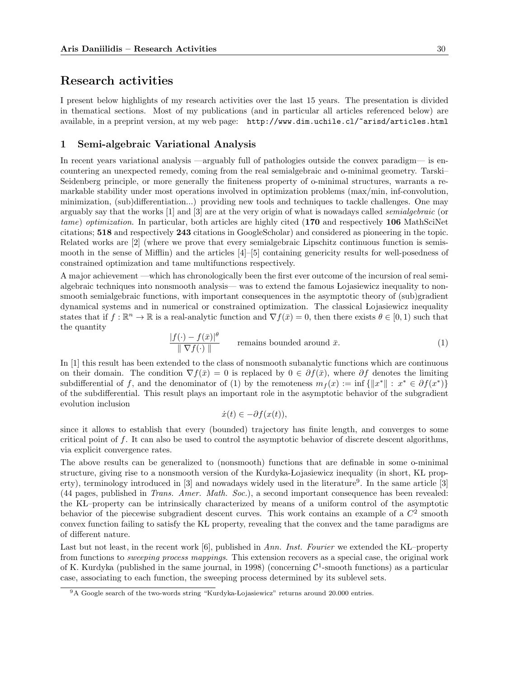# Research activities

I present below highlights of my research activities over the last 15 years. The presentation is divided in thematical sections. Most of my publications (and in particular all articles referenced below) are available, in a preprint version, at my web page: http://www.dim.uchile.cl/~arisd/articles.html

## 1 Semi-algebraic Variational Analysis

In recent years variational analysis —arguably full of pathologies outside the convex paradigm— is encountering an unexpected remedy, coming from the real semialgebraic and o-minimal geometry. Tarski– Seidenberg principle, or more generally the finiteness property of o-minimal structures, warrants a remarkable stability under most operations involved in optimization problems (max/min, inf-convolution, minimization, (sub)differentiation...) providing new tools and techniques to tackle challenges. One may arguably say that the works [1] and [3] are at the very origin of what is nowadays called semialgebraic (or tame) optimization. In particular, both articles are highly cited (170 and respectively 106 MathSciNet citations; 518 and respectively 243 citations in GoogleScholar) and considered as pioneering in the topic. Related works are [2] (where we prove that every semialgebraic Lipschitz continuous function is semismooth in the sense of Mifflin) and the articles [4]–[5] containing genericity results for well-posedness of constrained optimization and tame multifunctions respectively.

A major achievement —which has chronologically been the first ever outcome of the incursion of real semialgebraic techniques into nonsmooth analysis— was to extend the famous Lojasiewicz inequality to nonsmooth semialgebraic functions, with important consequences in the asymptotic theory of (sub)gradient dynamical systems and in numerical or constrained optimization. The classical Lojasiewicz inequality states that if  $f : \mathbb{R}^n \to \mathbb{R}$  is a real-analytic function and  $\nabla f(\bar{x}) = 0$ , then there exists  $\theta \in [0, 1)$  such that the quantity

$$
\frac{|f(\cdot) - f(\bar{x})|^{\theta}}{\|\nabla f(\cdot)\|} \qquad \text{remains bounded around } \bar{x}.
$$
 (1)

In [1] this result has been extended to the class of nonsmooth subanalytic functions which are continuous on their domain. The condition  $\nabla f(\bar{x}) = 0$  is replaced by  $0 \in \partial f(\bar{x})$ , where  $\partial f$  denotes the limiting subdifferential of f, and the denominator of (1) by the remoteness  $m_f(x) := \inf \{||x^*|| : x^* \in \partial f(x^*)\}$ of the subdifferential. This result plays an important role in the asymptotic behavior of the subgradient evolution inclusion

$$
\dot{x}(t) \in -\partial f(x(t)),
$$

since it allows to establish that every (bounded) trajectory has finite length, and converges to some critical point of f. It can also be used to control the asymptotic behavior of discrete descent algorithms, via explicit convergence rates.

The above results can be generalized to (nonsmooth) functions that are definable in some o-minimal structure, giving rise to a nonsmooth version of the Kurdyka-Lojasiewicz inequality (in short, KL property), terminology introduced in [3] and nowadays widely used in the literature<sup>9</sup>. In the same article [3] (44 pages, published in Trans. Amer. Math. Soc.), a second important consequence has been revealed: the KL–property can be intrinsically characterized by means of a uniform control of the asymptotic behavior of the piecewise subgradient descent curves. This work contains an example of a  $C<sup>2</sup>$  smooth convex function failing to satisfy the KL property, revealing that the convex and the tame paradigms are of different nature.

Last but not least, in the recent work  $[6]$ , published in Ann. Inst. Fourier we extended the KL–property from functions to sweeping process mappings. This extension recovers as a special case, the original work of K. Kurdyka (published in the same journal, in 1998) (concerning  $\mathcal{C}^1$ -smooth functions) as a particular case, associating to each function, the sweeping process determined by its sublevel sets.

<sup>&</sup>lt;sup>9</sup>A Google search of the two-words string "Kurdyka-Lojasiewicz" returns around 20.000 entries.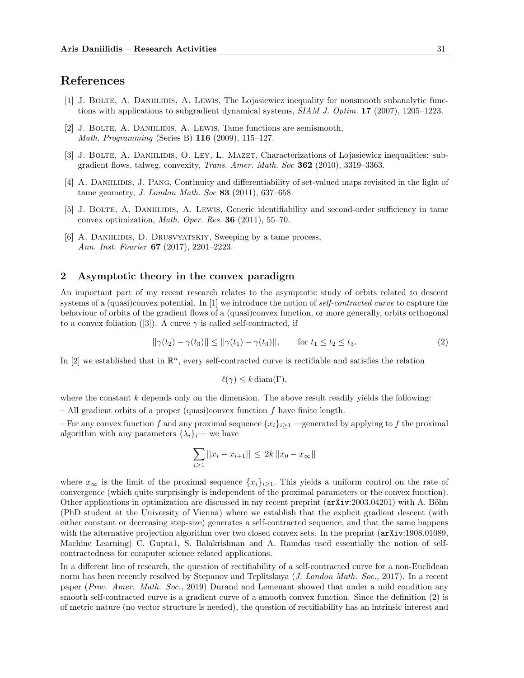# References

- [1] J. Bolte, A. Daniilidis, A. Lewis, The Lojasiewicz inequality for nonsmooth subanalytic functions with applications to subgradient dynamical systems,  $SIAM J. Optim.$  17 (2007), 1205–1223.
- [2] J. Bolte, A. Daniilidis, A. Lewis, Tame functions are semismooth, Math. Programming (Series B) 116 (2009), 115–127.
- [3] J. BOLTE, A. DANIILIDIS, O. LEY, L. MAZET, Characterizations of Lojasiewicz inequalities: subgradient flows, talweg, convexity, Trans. Amer. Math. Soc 362 (2010), 3319–3363.
- [4] A. DANIILIDIS, J. PANG, Continuity and differentiability of set-valued maps revisited in the light of tame geometry, J. London Math. Soc 83 (2011), 637–658.
- [5] J. BOLTE, A. DANIILIDIS, A. LEWIS, Generic identifiability and second-order sufficiency in tame convex optimization, Math. Oper. Res. 36 (2011), 55–70.
- [6] A. DANIILIDIS, D. DRUSVYATSKIY, Sweeping by a tame process, Ann. Inst. Fourier 67 (2017), 2201–2223.

# 2 Asymptotic theory in the convex paradigm

An important part of my recent research relates to the asymptotic study of orbits related to descent systems of a (quasi)convex potential. In [1] we introduce the notion of self-contracted curve to capture the behaviour of orbits of the gradient flows of a (quasi)convex function, or more generally, orbits orthogonal to a convex foliation ([3]). A curve  $\gamma$  is called self-contracted, if

$$
||\gamma(t_2) - \gamma(t_3)|| \le ||\gamma(t_1) - \gamma(t_3)||, \qquad \text{for } t_1 \le t_2 \le t_3. \tag{2}
$$

In [2] we established that in  $\mathbb{R}^n$ , every self-contracted curve is rectifiable and satisfies the relation

$$
\ell(\gamma) \leq k \operatorname{diam}(\Gamma),
$$

where the constant  $k$  depends only on the dimension. The above result readily yields the following:

– All gradient orbits of a proper (quasi)convex function  $f$  have finite length.

– For any convex function f and any proximal sequence  ${x_i}_{i>1}$  —generated by applying to f the proximal algorithm with any parameters  $\{\lambda_i\}_i$ — we have

$$
\sum_{i\geq 1}||x_i - x_{i+1}|| \leq 2k ||x_0 - x_{\infty}||
$$

where  $x_{\infty}$  is the limit of the proximal sequence  $\{x_i\}_{i\geq 1}$ . This yields a uniform control on the rate of convergence (which quite surprisingly is independent of the proximal parameters or the convex function). Other applications in optimization are discussed in my recent preprint (arXiv:2003.04201) with A. Böhn (PhD student at the University of Vienna) where we establish that the explicit gradient descent (with either constant or decreasing step-size) generates a self-contracted sequence, and that the same happens with the alternative projection algorithm over two closed convex sets. In the preprint (arXiv:1908.01089, Machine Learning) C. Gupta1, S. Balakrishnan and A. Ramdas used essentially the notion of selfcontractedness for computer science related applications.

In a different line of research, the question of rectifiability of a self-contracted curve for a non-Euclidean norm has been recently resolved by Stepanov and Teplitskaya (*J. London Math. Soc.*, 2017). In a recent paper (Proc. Amer. Math. Soc., 2019) Durand and Lemenant showed that under a mild condition any smooth self-contracted curve is a gradient curve of a smooth convex function. Since the definition (2) is of metric nature (no vector structure is needed), the question of rectifiability has an intrinsic interest and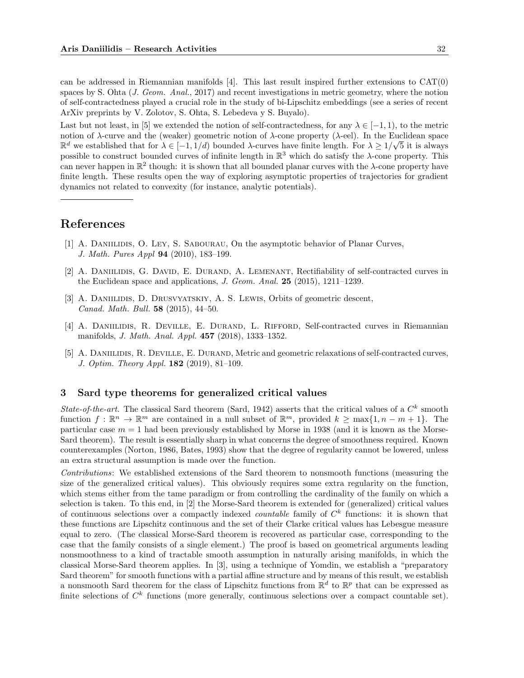can be addressed in Riemannian manifolds [4]. This last result inspired further extensions to CAT(0) spaces by S. Ohta (J. Geom. Anal., 2017) and recent investigations in metric geometry, where the notion of self-contractedness played a crucial role in the study of bi-Lipschitz embeddings (see a series of recent ArXiv preprints by V. Zolotov, S. Ohta, S. Lebedeva y S. Buyalo).

Last but not least, in [5] we extended the notion of self-contractedness, for any  $\lambda \in [-1, 1)$ , to the metric notion of  $\lambda$ -curve and the (weaker) geometric notion of  $\lambda$ -cone property ( $\lambda$ -eel). In the Euclidean space  $\mathbb{R}^d$  we established that for  $\lambda \in [-1, 1/d)$  bounded  $\lambda$ -curves have finite length. For  $\lambda \geq 1/\sqrt{5}$  it is always possible to construct bounded curves of infinite length in  $\mathbb{R}^3$  which do satisfy the  $\lambda$ -cone property. This can never happen in  $\mathbb{R}^2$  though: it is shown that all bounded planar curves with the  $\lambda$ -cone property have finite length. These results open the way of exploring asymptotic properties of trajectories for gradient dynamics not related to convexity (for instance, analytic potentials).

# References

- [1] A. DANIILIDIS, O. LEY, S. SABOURAU, On the asymptotic behavior of Planar Curves, J. Math. Pures Appl 94 (2010), 183–199.
- [2] A. DANIILIDIS, G. DAVID, E. DURAND, A. LEMENANT, Rectifiability of self-contracted curves in the Euclidean space and applications, J. Geom. Anal. 25 (2015), 1211–1239.
- [3] A. DANIILIDIS, D. DRUSVYATSKIY, A. S. LEWIS, Orbits of geometric descent, Canad. Math. Bull. 58 (2015), 44–50.
- [4] A. DANIILIDIS, R. DEVILLE, E. DURAND, L. RIFFORD, Self-contracted curves in Riemannian manifolds, J. Math. Anal. Appl. 457 (2018), 1333–1352.
- [5] A. DANIILIDIS, R. DEVILLE, E. DURAND, Metric and geometric relaxations of self-contracted curves, J. Optim. Theory Appl. 182 (2019), 81–109.

# 3 Sard type theorems for generalized critical values

State-of-the-art. The classical Sard theorem (Sard, 1942) asserts that the critical values of a  $C<sup>k</sup>$  smooth function  $f : \mathbb{R}^n \to \mathbb{R}^m$  are contained in a null subset of  $\mathbb{R}^m$ , provided  $k \ge \max\{1, n - m + 1\}$ . The particular case  $m = 1$  had been previously established by Morse in 1938 (and it is known as the Morse-Sard theorem). The result is essentially sharp in what concerns the degree of smoothness required. Known counterexamples (Norton, 1986, Bates, 1993) show that the degree of regularity cannot be lowered, unless an extra structural assumption is made over the function.

Contributions: We established extensions of the Sard theorem to nonsmooth functions (measuring the size of the generalized critical values). This obviously requires some extra regularity on the function, which stems either from the tame paradigm or from controlling the cardinality of the family on which a selection is taken. To this end, in [2] the Morse-Sard theorem is extended for (generalized) critical values of continuous selections over a compactly indexed *countable* family of  $C<sup>k</sup>$  functions: it is shown that these functions are Lipschitz continuous and the set of their Clarke critical values has Lebesgue measure equal to zero. (The classical Morse-Sard theorem is recovered as particular case, corresponding to the case that the family consists of a single element.) The proof is based on geometrical arguments leading nonsmoothness to a kind of tractable smooth assumption in naturally arising manifolds, in which the classical Morse-Sard theorem applies. In [3], using a technique of Yomdin, we establish a "preparatory Sard theorem" for smooth functions with a partial affine structure and by means of this result, we establish a nonsmooth Sard theorem for the class of Lipschitz functions from  $\mathbb{R}^d$  to  $\mathbb{R}^p$  that can be expressed as finite selections of  $C<sup>k</sup>$  functions (more generally, continuous selections over a compact countable set).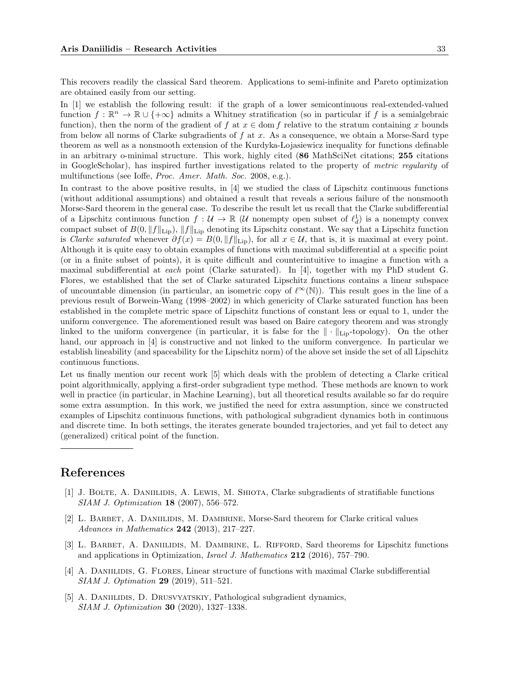This recovers readily the classical Sard theorem. Applications to semi-infinite and Pareto optimization are obtained easily from our setting.

In [1] we establish the following result: if the graph of a lower semicontinuous real-extended-valued function  $f : \mathbb{R}^n \to \mathbb{R} \cup \{+\infty\}$  admits a Whitney stratification (so in particular if f is a semialgebraic function), then the norm of the gradient of f at  $x \in \text{dom } f$  relative to the stratum containing x bounds from below all norms of Clarke subgradients of  $f$  at  $x$ . As a consequence, we obtain a Morse-Sard type theorem as well as a nonsmooth extension of the Kurdyka-Lojasiewicz inequality for functions definable in an arbitrary o-minimal structure. This work, highly cited (86 MathSciNet citations; 255 citations in GoogleScholar), has inspired further investigations related to the property of metric regularity of multifunctions (see Ioffe, Proc. Amer. Math. Soc. 2008, e.g.).

In contrast to the above positive results, in [4] we studied the class of Lipschitz continuous functions (without additional assumptions) and obtained a result that reveals a serious failure of the nonsmooth Morse-Sard theorem in the general case. To describe the result let us recall that the Clarke subdifferential of a Lipschitz continuous function  $f: U \to \mathbb{R}$  (U nonempty open subset of  $\ell_d^1$ ) is a nonempty convex compact subset of  $B(0, ||f||_{\text{Lip}})$ ,  $||f||_{\text{Lip}}$  denoting its Lipschitz constant. We say that a Lipschitz function is Clarke saturated whenever  $\partial f(x) = B(0, ||f||_{\text{Lip}})$ , for all  $x \in \mathcal{U}$ , that is, it is maximal at every point. Although it is quite easy to obtain examples of functions with maximal subdifferential at a specific point (or in a finite subset of points), it is quite difficult and counterintuitive to imagine a function with a maximal subdifferential at each point (Clarke saturated). In [4], together with my PhD student G. Flores, we established that the set of Clarke saturated Lipschitz functions contains a linear subspace of uncountable dimension (in particular, an isometric copy of  $\ell^{\infty}(\mathbb{N})$ ). This result goes in the line of a previous result of Borwein-Wang (1998–2002) in which genericity of Clarke saturated function has been established in the complete metric space of Lipschitz functions of constant less or equal to 1, under the uniform convergence. The aforementioned result was based on Baire category theorem and was strongly linked to the uniform convergence (in particular, it is false for the  $\|\cdot\|_{\text{Lip}}$ -topology). On the other hand, our approach in  $|4|$  is constructive and not linked to the uniform convergence. In particular we establish lineability (and spaceability for the Lipschitz norm) of the above set inside the set of all Lipschitz continuous functions.

Let us finally mention our recent work [5] which deals with the problem of detecting a Clarke critical point algorithmically, applying a first-order subgradient type method. These methods are known to work well in practice (in particular, in Machine Learning), but all theoretical results available so far do require some extra assumption. In this work, we justified the need for extra assumption, since we constructed examples of Lipschitz continuous functions, with pathological subgradient dynamics both in continuous and discrete time. In both settings, the iterates generate bounded trajectories, and yet fail to detect any (generalized) critical point of the function.

# References

- [1] J. Bolte, A. Daniilidis, A. Lewis, M. Shiota, Clarke subgradients of stratifiable functions SIAM J. Optimization 18 (2007), 556–572.
- [2] L. BARBET, A. DANIILIDIS, M. DAMBRINE, Morse-Sard theorem for Clarke critical values Advances in Mathematics 242 (2013), 217–227.
- [3] L. BARBET, A. DANIILIDIS, M. DAMBRINE, L. RIFFORD, Sard theorems for Lipschitz functions and applications in Optimization, Israel J. Mathematics 212 (2016), 757–790.
- [4] A. Daniilidis, G. Flores, Linear structure of functions with maximal Clarke subdifferential SIAM J. Optimation 29 (2019), 511–521.
- [5] A. DANIILIDIS, D. DRUSVYATSKIY, Pathological subgradient dynamics, SIAM J. Optimization 30 (2020), 1327–1338.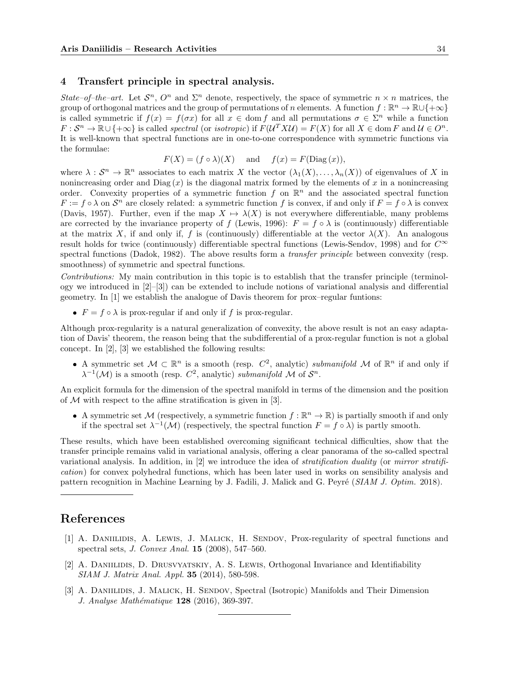### 4 Transfert principle in spectral analysis.

State–of–the–art. Let  $S^n$ ,  $O^n$  and  $\Sigma^n$  denote, respectively, the space of symmetric  $n \times n$  matrices, the group of orthogonal matrices and the group of permutations of n elements. A function  $f : \mathbb{R}^n \to \mathbb{R} \cup \{+\infty\}$ is called symmetric if  $f(x) = f(\sigma x)$  for all  $x \in \text{dom } f$  and all permutations  $\sigma \in \Sigma^n$  while a function  $F: \mathcal{S}^n \to \mathbb{R} \cup \{+\infty\}$  is called *spectral* (or *isotropic*) if  $F(\mathcal{U}^T X \mathcal{U}) = F(X)$  for all  $X \in \text{dom } F$  and  $\mathcal{U} \in O^n$ . It is well-known that spectral functions are in one-to-one correspondence with symmetric functions via the formulae:

$$
F(X) = (f \circ \lambda)(X)
$$
 and  $f(x) = F(\text{Diag}(x)),$ 

where  $\lambda: \mathcal{S}^n \to \mathbb{R}^n$  associates to each matrix X the vector  $(\lambda_1(X), \ldots, \lambda_n(X))$  of eigenvalues of X in nonincreasing order and  $Diag(x)$  is the diagonal matrix formed by the elements of x in a nonincreasing order. Convexity properties of a symmetric function f on  $\mathbb{R}^n$  and the associated spectral function  $F := f \circ \lambda$  on  $S^n$  are closely related: a symmetric function f is convex, if and only if  $F = f \circ \lambda$  is convex (Davis, 1957). Further, even if the map  $X \mapsto \lambda(X)$  is not everywhere differentiable, many problems are corrected by the invariance property of f (Lewis, 1996):  $F = f \circ \lambda$  is (continuously) differentiable at the matrix X, if and only if, f is (continuously) differentiable at the vector  $\lambda(X)$ . An analogous result holds for twice (continuously) differentiable spectral functions (Lewis-Sendov, 1998) and for  $C^{\infty}$ spectral functions (Dadok, 1982). The above results form a *transfer principle* between convexity (resp. smoothness) of symmetric and spectral functions.

Contributions: My main contribution in this topic is to establish that the transfer principle (terminology we introduced in  $[2]-[3]$ ) can be extended to include notions of variational analysis and differential geometry. In [1] we establish the analogue of Davis theorem for prox–regular funtions:

•  $F = f \circ \lambda$  is prox-regular if and only if f is prox-regular.

Although prox-regularity is a natural generalization of convexity, the above result is not an easy adaptation of Davis' theorem, the reason being that the subdifferential of a prox-regular function is not a global concept. In [2], [3] we established the following results:

A symmetric set  $M \subset \mathbb{R}^n$  is a smooth (resp.  $C^2$ , analytic) submanifold M of  $\mathbb{R}^n$  if and only if  $\lambda^{-1}(\mathcal{M})$  is a smooth (resp.  $C^2$ , analytic) submanifold M of  $\mathcal{S}^n$ .

An explicit formula for the dimension of the spectral manifold in terms of the dimension and the position of  $M$  with respect to the affine stratification is given in [3].

A symmetric set M (respectively, a symmetric function  $f : \mathbb{R}^n \to \mathbb{R}$ ) is partially smooth if and only if the spectral set  $\lambda^{-1}(\mathcal{M})$  (respectively, the spectral function  $F = f \circ \lambda$ ) is partly smooth.

These results, which have been established overcoming significant technical difficulties, show that the transfer principle remains valid in variational analysis, offering a clear panorama of the so-called spectral variational analysis. In addition, in [2] we introduce the idea of stratification duality (or mirror stratification) for convex polyhedral functions, which has been later used in works on sensibility analysis and pattern recognition in Machine Learning by J. Fadili, J. Malick and G. Peyré (SIAM J. Optim. 2018).

# References

- [1] A. Daniilidis, A. Lewis, J. Malick, H. Sendov, Prox-regularity of spectral functions and spectral sets, J. Convex Anal. 15 (2008), 547–560.
- [2] A. Daniilidis, D. Drusvyatskiy, A. S. Lewis, Orthogonal Invariance and Identifiability SIAM J. Matrix Anal. Appl. 35 (2014), 580-598.
- [3] A. DANIILIDIS, J. MALICK, H. SENDOV, Spectral (Isotropic) Manifolds and Their Dimension J. Analyse Mathématique 128 (2016), 369-397.